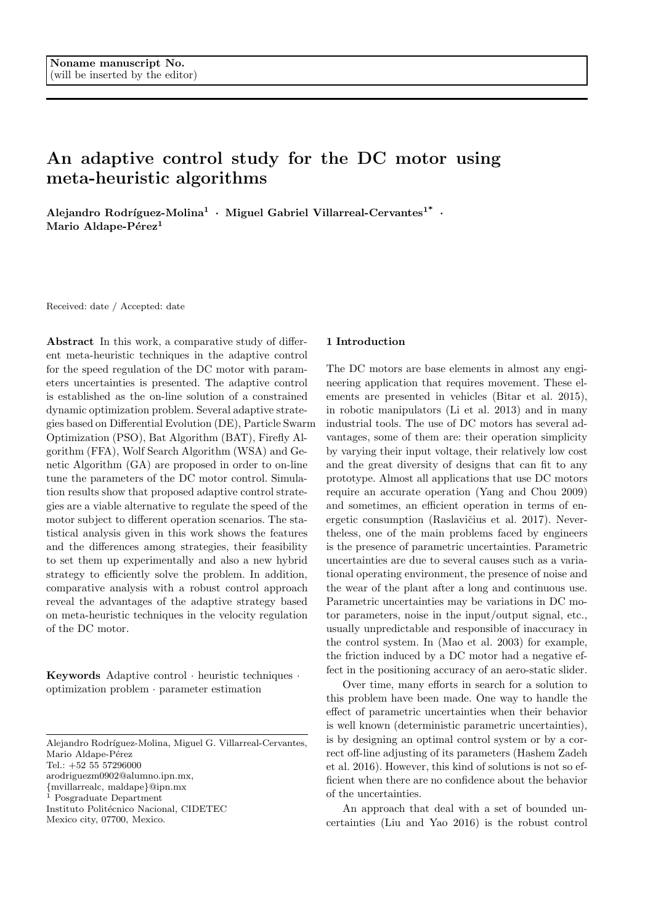# An adaptive control study for the DC motor using meta-heuristic algorithms

Alejandro Rodríguez-Molina<sup>1</sup> · Miguel Gabriel Villarreal-Cervantes<sup>1\*</sup> · Mario Aldape-Pérez<sup>1</sup>

Received: date / Accepted: date

Abstract In this work, a comparative study of different meta-heuristic techniques in the adaptive control for the speed regulation of the DC motor with parameters uncertainties is presented. The adaptive control is established as the on-line solution of a constrained dynamic optimization problem. Several adaptive strategies based on Differential Evolution (DE), Particle Swarm Optimization (PSO), Bat Algorithm (BAT), Firefly Algorithm (FFA), Wolf Search Algorithm (WSA) and Genetic Algorithm (GA) are proposed in order to on-line tune the parameters of the DC motor control. Simulation results show that proposed adaptive control strategies are a viable alternative to regulate the speed of the motor subject to different operation scenarios. The statistical analysis given in this work shows the features and the differences among strategies, their feasibility to set them up experimentally and also a new hybrid strategy to efficiently solve the problem. In addition, comparative analysis with a robust control approach reveal the advantages of the adaptive strategy based on meta-heuristic techniques in the velocity regulation of the DC motor.

Keywords Adaptive control · heuristic techniques · optimization problem · parameter estimation

Alejandro Rodríguez-Molina, Miguel G. Villarreal-Cervantes,

Tel.: +52 55 57296000

arodriguezm0902@alumno.ipn.mx,

{mvillarrealc, maldape}@ipn.mx

<sup>1</sup> Posgraduate Department

Instituto Politécnico Nacional, CIDETEC

Mexico city, 07700, Mexico.

#### 1 Introduction

The DC motors are base elements in almost any engineering application that requires movement. These elements are presented in vehicles (Bitar et al. 2015), in robotic manipulators (Li et al. 2013) and in many industrial tools. The use of DC motors has several advantages, some of them are: their operation simplicity by varying their input voltage, their relatively low cost and the great diversity of designs that can fit to any prototype. Almost all applications that use DC motors require an accurate operation (Yang and Chou 2009) and sometimes, an efficient operation in terms of energetic consumption (Raslavičius et al. 2017). Nevertheless, one of the main problems faced by engineers is the presence of parametric uncertainties. Parametric uncertainties are due to several causes such as a variational operating environment, the presence of noise and the wear of the plant after a long and continuous use. Parametric uncertainties may be variations in DC motor parameters, noise in the input/output signal, etc., usually unpredictable and responsible of inaccuracy in the control system. In (Mao et al. 2003) for example, the friction induced by a DC motor had a negative effect in the positioning accuracy of an aero-static slider.

Over time, many efforts in search for a solution to this problem have been made. One way to handle the effect of parametric uncertainties when their behavior is well known (deterministic parametric uncertainties), is by designing an optimal control system or by a correct off-line adjusting of its parameters (Hashem Zadeh et al. 2016). However, this kind of solutions is not so efficient when there are no confidence about the behavior of the uncertainties.

An approach that deal with a set of bounded uncertainties (Liu and Yao 2016) is the robust control

Mario Aldape-Pérez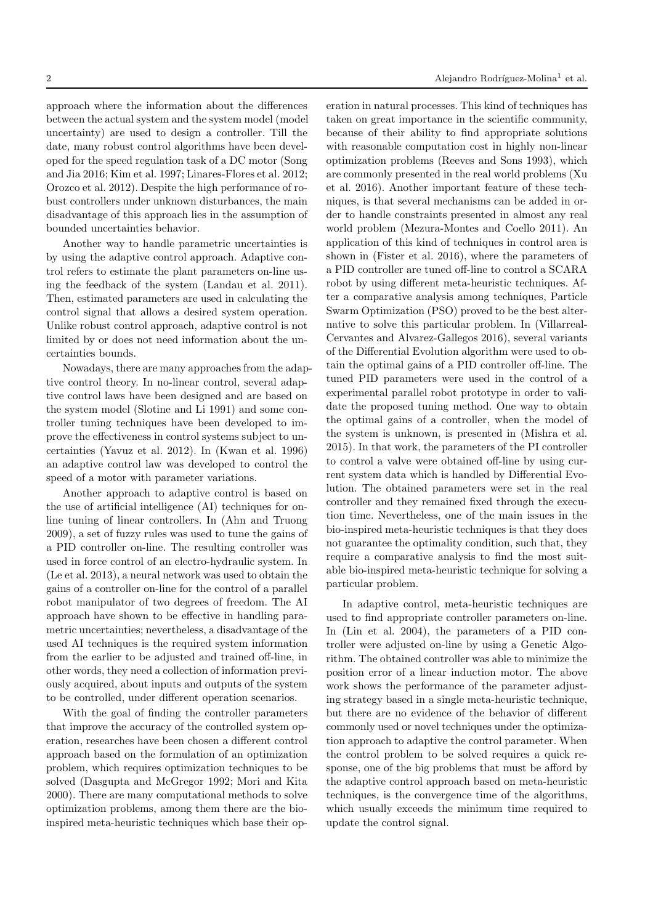approach where the information about the differences between the actual system and the system model (model uncertainty) are used to design a controller. Till the date, many robust control algorithms have been developed for the speed regulation task of a DC motor (Song and Jia 2016; Kim et al. 1997; Linares-Flores et al. 2012; Orozco et al. 2012). Despite the high performance of robust controllers under unknown disturbances, the main disadvantage of this approach lies in the assumption of bounded uncertainties behavior.

Another way to handle parametric uncertainties is by using the adaptive control approach. Adaptive control refers to estimate the plant parameters on-line using the feedback of the system (Landau et al. 2011). Then, estimated parameters are used in calculating the control signal that allows a desired system operation. Unlike robust control approach, adaptive control is not limited by or does not need information about the uncertainties bounds.

Nowadays, there are many approaches from the adaptive control theory. In no-linear control, several adaptive control laws have been designed and are based on the system model (Slotine and Li 1991) and some controller tuning techniques have been developed to improve the effectiveness in control systems subject to uncertainties (Yavuz et al. 2012). In (Kwan et al. 1996) an adaptive control law was developed to control the speed of a motor with parameter variations.

Another approach to adaptive control is based on the use of artificial intelligence (AI) techniques for online tuning of linear controllers. In (Ahn and Truong 2009), a set of fuzzy rules was used to tune the gains of a PID controller on-line. The resulting controller was used in force control of an electro-hydraulic system. In (Le et al. 2013), a neural network was used to obtain the gains of a controller on-line for the control of a parallel robot manipulator of two degrees of freedom. The AI approach have shown to be effective in handling parametric uncertainties; nevertheless, a disadvantage of the used AI techniques is the required system information from the earlier to be adjusted and trained off-line, in other words, they need a collection of information previously acquired, about inputs and outputs of the system to be controlled, under different operation scenarios.

With the goal of finding the controller parameters that improve the accuracy of the controlled system operation, researches have been chosen a different control approach based on the formulation of an optimization problem, which requires optimization techniques to be solved (Dasgupta and McGregor 1992; Mori and Kita 2000). There are many computational methods to solve optimization problems, among them there are the bioinspired meta-heuristic techniques which base their operation in natural processes. This kind of techniques has taken on great importance in the scientific community, because of their ability to find appropriate solutions with reasonable computation cost in highly non-linear optimization problems (Reeves and Sons 1993), which are commonly presented in the real world problems (Xu et al. 2016). Another important feature of these techniques, is that several mechanisms can be added in order to handle constraints presented in almost any real world problem (Mezura-Montes and Coello 2011). An application of this kind of techniques in control area is shown in (Fister et al. 2016), where the parameters of a PID controller are tuned off-line to control a SCARA robot by using different meta-heuristic techniques. After a comparative analysis among techniques, Particle Swarm Optimization (PSO) proved to be the best alternative to solve this particular problem. In (Villarreal-Cervantes and Alvarez-Gallegos 2016), several variants of the Differential Evolution algorithm were used to obtain the optimal gains of a PID controller off-line. The tuned PID parameters were used in the control of a experimental parallel robot prototype in order to validate the proposed tuning method. One way to obtain the optimal gains of a controller, when the model of the system is unknown, is presented in (Mishra et al. 2015). In that work, the parameters of the PI controller to control a valve were obtained off-line by using current system data which is handled by Differential Evolution. The obtained parameters were set in the real controller and they remained fixed through the execution time. Nevertheless, one of the main issues in the bio-inspired meta-heuristic techniques is that they does not guarantee the optimality condition, such that, they require a comparative analysis to find the most suitable bio-inspired meta-heuristic technique for solving a particular problem.

In adaptive control, meta-heuristic techniques are used to find appropriate controller parameters on-line. In (Lin et al. 2004), the parameters of a PID controller were adjusted on-line by using a Genetic Algorithm. The obtained controller was able to minimize the position error of a linear induction motor. The above work shows the performance of the parameter adjusting strategy based in a single meta-heuristic technique, but there are no evidence of the behavior of different commonly used or novel techniques under the optimization approach to adaptive the control parameter. When the control problem to be solved requires a quick response, one of the big problems that must be afford by the adaptive control approach based on meta-heuristic techniques, is the convergence time of the algorithms, which usually exceeds the minimum time required to update the control signal.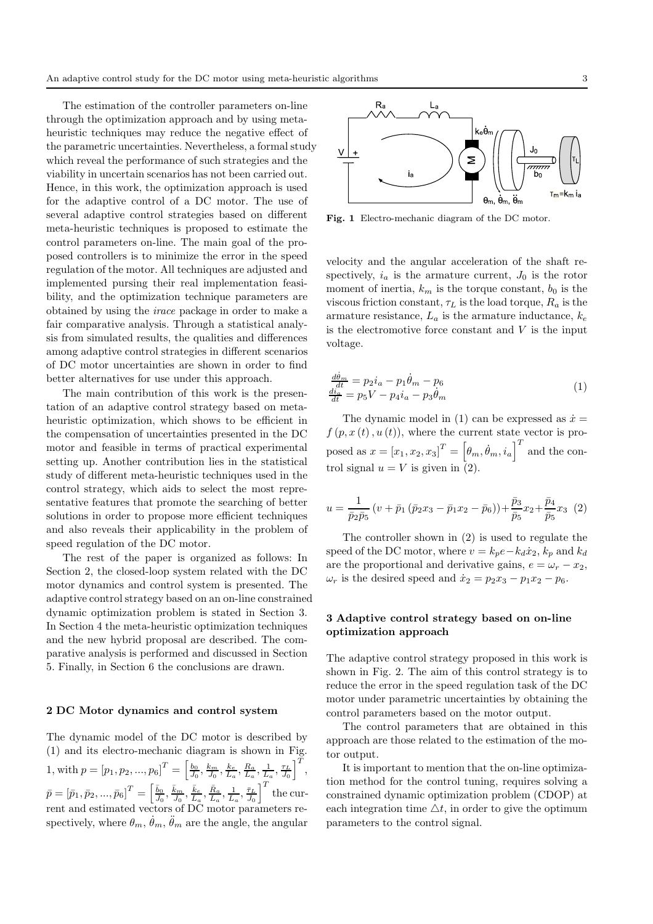The estimation of the controller parameters on-line through the optimization approach and by using metaheuristic techniques may reduce the negative effect of the parametric uncertainties. Nevertheless, a formal study which reveal the performance of such strategies and the viability in uncertain scenarios has not been carried out. Hence, in this work, the optimization approach is used for the adaptive control of a DC motor. The use of several adaptive control strategies based on different meta-heuristic techniques is proposed to estimate the control parameters on-line. The main goal of the proposed controllers is to minimize the error in the speed regulation of the motor. All techniques are adjusted and implemented pursing their real implementation feasibility, and the optimization technique parameters are obtained by using the irace package in order to make a fair comparative analysis. Through a statistical analysis from simulated results, the qualities and differences among adaptive control strategies in different scenarios of DC motor uncertainties are shown in order to find better alternatives for use under this approach.

The main contribution of this work is the presentation of an adaptive control strategy based on metaheuristic optimization, which shows to be efficient in the compensation of uncertainties presented in the DC motor and feasible in terms of practical experimental setting up. Another contribution lies in the statistical study of different meta-heuristic techniques used in the control strategy, which aids to select the most representative features that promote the searching of better solutions in order to propose more efficient techniques and also reveals their applicability in the problem of speed regulation of the DC motor.

The rest of the paper is organized as follows: In Section 2, the closed-loop system related with the DC motor dynamics and control system is presented. The adaptive control strategy based on an on-line constrained dynamic optimization problem is stated in Section 3. In Section 4 the meta-heuristic optimization techniques and the new hybrid proposal are described. The comparative analysis is performed and discussed in Section 5. Finally, in Section 6 the conclusions are drawn.

## 2 DC Motor dynamics and control system

The dynamic model of the DC motor is described by (1) and its electro-mechanic diagram is shown in Fig. 1, with  $p = [p_1, p_2, ..., p_6]^T = \left[\frac{b_0}{J_0}, \frac{k_m}{J_0}, \frac{k_c}{L_a}, \frac{R_a}{L_a}, \frac{1}{L_a}, \frac{\tau_L}{J_0}\right]^T$ ,  $\bar{p} = \left[ \bar{p}_1, \bar{p}_2, ..., \bar{p}_6 \right]^T = \left[ \frac{\bar{b}_0}{\bar{b}_0} \right]$  $\frac{\bar{b}_0}{\bar{J}_0},\frac{\bar{k}_m}{\bar{J}_0},\frac{\bar{k}_e}{\bar{L}_a}$  $\frac{\bar{k}_e}{\bar{L}_a}, \frac{\bar{R}_a}{\bar{L}_a}$  $\frac{\bar{R}_a}{\bar{L}_a}, \frac{1}{\bar{L}_a}, \frac{\bar{\tau}_L}{\bar{J}_0}\bigg]^T$  the current and estimated vectors of DC motor parameters respectively, where  $\theta_m$ ,  $\dot{\theta}_m$ ,  $\ddot{\theta}_m$  are the angle, the angular



Fig. 1 Electro-mechanic diagram of the DC motor.

velocity and the angular acceleration of the shaft respectively,  $i_a$  is the armature current,  $J_0$  is the rotor moment of inertia,  $k_m$  is the torque constant,  $b_0$  is the viscous friction constant,  $\tau_L$  is the load torque,  $R_a$  is the armature resistance,  $L_a$  is the armature inductance,  $k_e$ is the electromotive force constant and  $V$  is the input voltage.

$$
\frac{\frac{d\dot{\theta}_m}{dt}}{\frac{d\dot{t}_a}{dt}} = p_2 i_a - p_1 \dot{\theta}_m - p_6
$$
  

$$
\frac{\frac{d\dot{\theta}_a}{dt}}{dt} = p_5 V - p_4 i_a - p_3 \dot{\theta}_m
$$
\n(1)

The dynamic model in (1) can be expressed as  $\dot{x} =$  $f(p, x(t), u(t))$ , where the current state vector is proposed as  $x = [x_1, x_2, x_3]^T = [\theta_m, \dot{\theta}_m, i_a]^T$  and the control signal  $u = V$  is given in  $(2)$ .

$$
u = \frac{1}{\bar{p}_2 \bar{p}_5} (v + \bar{p}_1 (\bar{p}_2 x_3 - \bar{p}_1 x_2 - \bar{p}_6)) + \frac{\bar{p}_3}{\bar{p}_5} x_2 + \frac{\bar{p}_4}{\bar{p}_5} x_3 (2)
$$

The controller shown in (2) is used to regulate the speed of the DC motor, where  $v = k_p e - k_d \dot{x}_2$ ,  $k_p$  and  $k_d$ are the proportional and derivative gains,  $e = \omega_r - x_2$ ,  $\omega_r$  is the desired speed and  $\dot{x}_2 = p_2x_3 - p_1x_2 - p_6$ .

# 3 Adaptive control strategy based on on-line optimization approach

The adaptive control strategy proposed in this work is shown in Fig. 2. The aim of this control strategy is to reduce the error in the speed regulation task of the DC motor under parametric uncertainties by obtaining the control parameters based on the motor output.

The control parameters that are obtained in this approach are those related to the estimation of the motor output.

It is important to mention that the on-line optimization method for the control tuning, requires solving a constrained dynamic optimization problem (CDOP) at each integration time  $\Delta t$ , in order to give the optimum parameters to the control signal.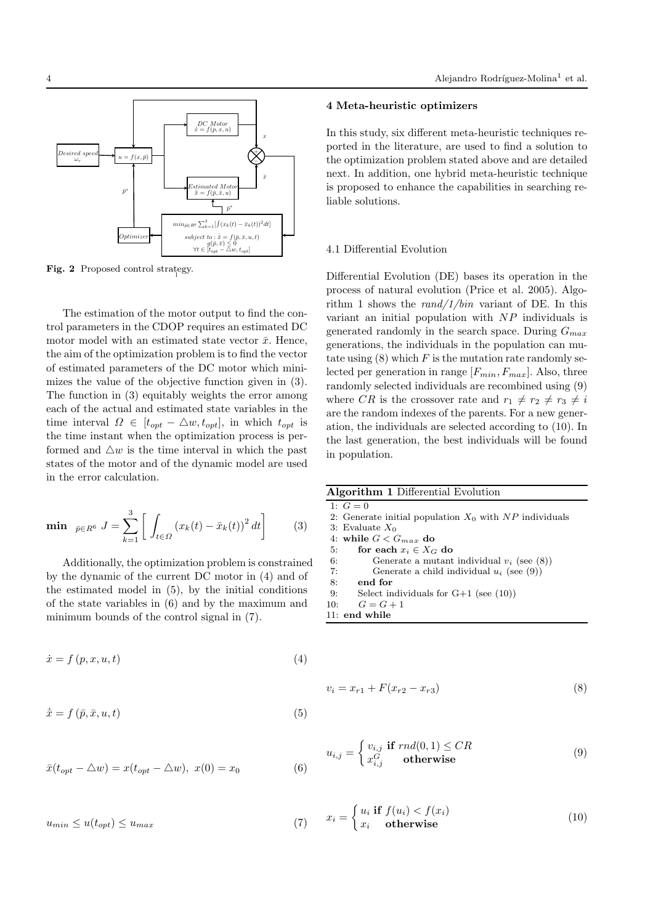

Fig. 2 Proposed control strategy.

The estimation of the motor output to find the control parameters in the CDOP requires an estimated DC motor model with an estimated state vector  $\bar{x}$ . Hence, the aim of the optimization problem is to find the vector of estimated parameters of the DC motor which minimizes the value of the objective function given in (3). The function in (3) equitably weights the error among each of the actual and estimated state variables in the time interval  $\Omega \in [t_{opt} - \Delta w, t_{opt}],$  in which  $t_{opt}$  is the time instant when the optimization process is performed and  $\Delta w$  is the time interval in which the past states of the motor and of the dynamic model are used in the error calculation.

$$
\min_{\bar{p} \in R^6} J = \sum_{k=1}^3 \left[ \int_{t \in \Omega} \left( x_k(t) - \bar{x}_k(t) \right)^2 dt \right] \tag{3}
$$

Additionally, the optimization problem is constrained by the dynamic of the current DC motor in (4) and of the estimated model in (5), by the initial conditions of the state variables in (6) and by the maximum and minimum bounds of the control signal in (7).

$$
\dot{x} = f(p, x, u, t) \tag{4}
$$

$$
\dot{\bar{x}} = f\left(\bar{p}, \bar{x}, u, t\right) \tag{5}
$$

$$
\bar{x}(t_{opt} - \triangle w) = x(t_{opt} - \triangle w), \ x(0) = x_0 \tag{6}
$$

 $u_{min} \leq u(t_{opt}) \leq u_{max}$  (7)

# 4 Meta-heuristic optimizers

In this study, six different meta-heuristic techniques reported in the literature, are used to find a solution to the optimization problem stated above and are detailed next. In addition, one hybrid meta-heuristic technique is proposed to enhance the capabilities in searching reliable solutions.

# 4.1 Differential Evolution

Differential Evolution (DE) bases its operation in the process of natural evolution (Price et al. 2005). Algorithm 1 shows the  $rand/1/bin$  variant of DE. In this variant an initial population with  $NP$  individuals is generated randomly in the search space. During  $G_{max}$ generations, the individuals in the population can mutate using  $(8)$  which F is the mutation rate randomly selected per generation in range  $[F_{min}, F_{max}]$ . Also, three randomly selected individuals are recombined using (9) where CR is the crossover rate and  $r_1 \neq r_2 \neq r_3 \neq i$ are the random indexes of the parents. For a new generation, the individuals are selected according to (10). In the last generation, the best individuals will be found in population.

| <b>Algorithm 1 Differential Evolution</b> |  |
|-------------------------------------------|--|
|-------------------------------------------|--|

```
1: G = 0
```
- 2: Generate initial population  $X_0$  with NP individuals
- 3: Evaluate  $X_0$

4: while  $G < G_{max}$  do

5: for each  $x_i \in X_G$  do<br>6: Generate a mutant Generate a mutant individual  $v_i$  (see (8))

7: Generate a child individual  $u_i$  (see (9))

8: end for

- 9: Select individuals for G+1 (see (10))
- 10:  $G = G + 1$
- 11: end while

$$
v_i = x_{r1} + F(x_{r2} - x_{r3})
$$
\n(8)

$$
u_{i,j} = \begin{cases} v_{i,j} & \text{if } rnd(0,1) \leq CR \\ x_{i,j}^G & \text{otherwise} \end{cases}
$$
(9)

$$
x_i = \begin{cases} u_i & \text{if } f(u_i) < f(x_i) \\ x_i & \text{otherwise} \end{cases} \tag{10}
$$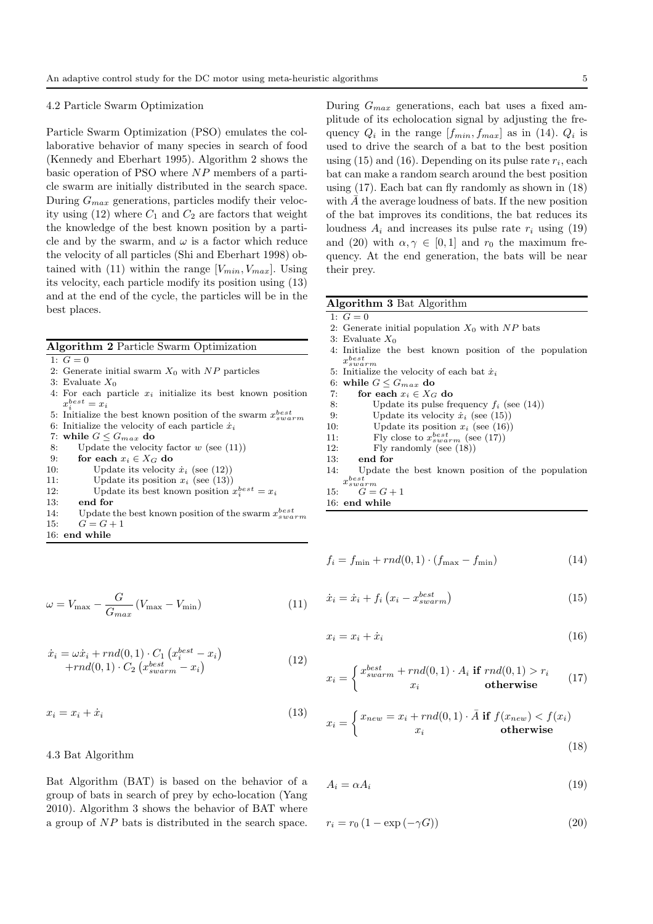#### 4.2 Particle Swarm Optimization

Particle Swarm Optimization (PSO) emulates the collaborative behavior of many species in search of food (Kennedy and Eberhart 1995). Algorithm 2 shows the basic operation of PSO where NP members of a particle swarm are initially distributed in the search space. During  $G_{max}$  generations, particles modify their velocity using  $(12)$  where  $C_1$  and  $C_2$  are factors that weight the knowledge of the best known position by a particle and by the swarm, and  $\omega$  is a factor which reduce the velocity of all particles (Shi and Eberhart 1998) obtained with (11) within the range  $[V_{min}, V_{max}]$ . Using its velocity, each particle modify its position using (13) and at the end of the cycle, the particles will be in the best places.

|  |  |  | Algorithm 2 Particle Swarm Optimization |
|--|--|--|-----------------------------------------|
|--|--|--|-----------------------------------------|

- 1:  $G = 0$
- 2: Generate initial swarm  $X_0$  with NP particles
- 3: Evaluate  $X_0$
- 4: For each particle  $x_i$  initialize its best known position  $x_i^{best} = x_i$
- 5: Initialize the best known position of the swarm  $x_{swarm}^{best}$ 6: Initialize the velocity of each particle  $\dot{x}_i$
- 7: while  $G \leq G_{max}$  do
- 8: Update the velocity factor  $w$  (see (11))
- 9: for each  $x_i \in X_G$  do
- 10: Update its velocity  $\dot{x}_i$  (see (12))
- 11: Update its position  $x_i$  (see (13))
- 12: Update its best known position  $x_i^{best} = x_i$
- 13: end for
- 14: Update the best known position of the swarm  $x_{swarm}^{best}$ 15:  $G = G + 1$
- 16: end while

$$
\omega = V_{\text{max}} - \frac{G}{G_{\text{max}}} \left( V_{\text{max}} - V_{\text{min}} \right) \tag{11}
$$

$$
\begin{aligned} \dot{x}_i &= \omega \dot{x}_i + rnd(0, 1) \cdot C_1 \left( x_i^{best} - x_i \right) \\ &+ rnd(0, 1) \cdot C_2 \left( x_{swarm}^{best} - x_i \right) \end{aligned} \tag{12}
$$

 $x_i = x_i + \dot{x}_i$  (13)

# 4.3 Bat Algorithm

Bat Algorithm (BAT) is based on the behavior of a group of bats in search of prey by echo-location (Yang 2010). Algorithm 3 shows the behavior of BAT where a group of NP bats is distributed in the search space.

During  $G_{max}$  generations, each bat uses a fixed amplitude of its echolocation signal by adjusting the frequency  $Q_i$  in the range  $[f_{min}, f_{max}]$  as in (14).  $Q_i$  is used to drive the search of a bat to the best position using  $(15)$  and  $(16)$ . Depending on its pulse rate  $r_i$ , each bat can make a random search around the best position using (17). Each bat can fly randomly as shown in (18) with  $\overline{A}$  the average loudness of bats. If the new position of the bat improves its conditions, the bat reduces its loudness  $A_i$  and increases its pulse rate  $r_i$  using (19) and (20) with  $\alpha, \gamma \in [0, 1]$  and  $r_0$  the maximum frequency. At the end generation, the bats will be near their prey.

#### Algorithm 3 Bat Algorithm

- 1:  $G = 0$
- 2: Generate initial population  $X_0$  with  $NP$  bats
- 3: Evaluate  $X_0$
- 4: Initialize the best known position of the population  $x_{swarm}^{best}$
- 5: Initialize the velocity of each bat  $\dot{x}_i$
- 6: while  $G \leq G_{max}$  do
- 7: for each  $x_i \in X_G$  do
- 8: Update its pulse frequency  $f_i$  (see (14))
- 9: Update its velocity  $\dot{x}_i$  (see (15))
- 10: Update its position  $x_i$  (see (16))<br>11: Fly close to  $x_{s, u, x, m}^{best, x}$  (see (17))
- 11: Fly close to  $x_{swarm}^{best}$  (see (17))
- 12: Fly randomly (see (18))
- 13: end for
- 14: Update the best known position of the population  $x_{swa}^{best}$ swarm
- 15:  $G = G + 1$
- 16: end while

$$
f_i = f_{\min} + rnd(0, 1) \cdot (f_{\max} - f_{\min})
$$
\n(14)

$$
\dot{x}_i = \dot{x}_i + f_i \left( x_i - x_{swarm}^{best} \right) \tag{15}
$$

$$
x_i = x_i + \dot{x}_i \tag{16}
$$

$$
x_i = \begin{cases} x_{swarm}^{best} + rnd(0,1) \cdot A_i \text{ if } rnd(0,1) > r_i \\ x_i \text{ otherwise} \end{cases} (17)
$$

$$
x_i = \begin{cases} x_{new} = x_i + rnd(0, 1) \cdot \bar{A} \text{ if } f(x_{new}) < f(x_i) \\ x_i & \text{otherwise} \end{cases} \tag{18}
$$

$$
A_i = \alpha A_i \tag{19}
$$

$$
r_i = r_0 \left( 1 - \exp\left( -\gamma G \right) \right) \tag{20}
$$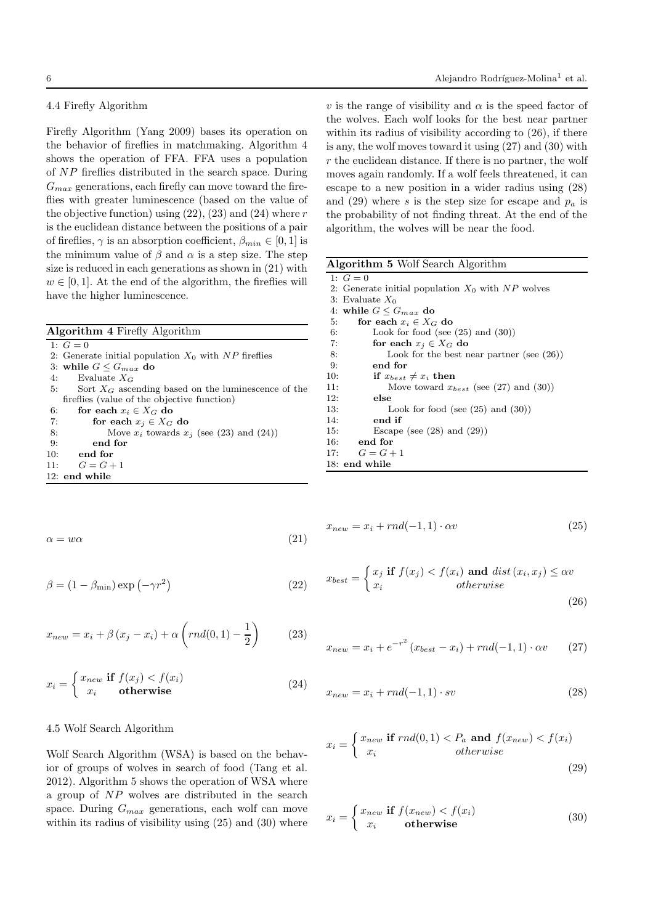# 4.4 Firefly Algorithm

Firefly Algorithm (Yang 2009) bases its operation on the behavior of fireflies in matchmaking. Algorithm 4 shows the operation of FFA. FFA uses a population of NP fireflies distributed in the search space. During  $G_{max}$  generations, each firefly can move toward the fireflies with greater luminescence (based on the value of the objective function) using  $(22)$ ,  $(23)$  and  $(24)$  where r is the euclidean distance between the positions of a pair of fireflies,  $\gamma$  is an absorption coefficient,  $\beta_{min} \in [0, 1]$  is the minimum value of  $\beta$  and  $\alpha$  is a step size. The step size is reduced in each generations as shown in (21) with  $w \in [0, 1]$ . At the end of the algorithm, the fireflies will have the higher luminescence.

Algorithm 4 Firefly Algorithm

1:  $G = 0$ 

- 2: Generate initial population  $X_0$  with NP fireflies 3: while  $G \leq G_{max}$  do 4: Evaluate  $X_G$ <br>5: Sort  $X_G$  asce Sort  $X_G$  ascending based on the luminescence of the fireflies (value of the objective function) 6: for each  $x_i \in X_G$  do<br>7: for each  $x_j \in X_G$ for each  $x_j \in X_G$  do
- 8: Move  $x_i$  towards  $x_j$  (see (23) and (24))
- 9: end for
- 10: end for
- 11:  $G = G + 1$

12: end while

$$
\alpha = w\alpha \tag{21}
$$

$$
\beta = (1 - \beta_{\min}) \exp(-\gamma r^2)
$$
 (22)

$$
x_{new} = x_i + \beta (x_j - x_i) + \alpha \left( rnd(0, 1) - \frac{1}{2} \right) \tag{23}
$$

$$
x_i = \begin{cases} x_{new} & \text{if } f(x_j) < f(x_i) \\ x_i & \text{otherwise} \end{cases} \tag{24}
$$

# 4.5 Wolf Search Algorithm

Wolf Search Algorithm (WSA) is based on the behavior of groups of wolves in search of food (Tang et al. 2012). Algorithm 5 shows the operation of WSA where a group of NP wolves are distributed in the search space. During  $G_{max}$  generations, each wolf can move within its radius of visibility using  $(25)$  and  $(30)$  where

v is the range of visibility and  $\alpha$  is the speed factor of the wolves. Each wolf looks for the best near partner within its radius of visibility according to  $(26)$ , if there is any, the wolf moves toward it using (27) and (30) with  $r$  the euclidean distance. If there is no partner, the wolf moves again randomly. If a wolf feels threatened, it can escape to a new position in a wider radius using (28) and (29) where s is the step size for escape and  $p_a$  is the probability of not finding threat. At the end of the algorithm, the wolves will be near the food.

| Algorithm 5 Wolf Search Algorithm |  |
|-----------------------------------|--|
|-----------------------------------|--|

| 1: $G = 0$                                          |
|-----------------------------------------------------|
| 2: Generate initial population $X_0$ with NP wolves |
| 3: Evaluate $X_0$                                   |
| 4: while $G \leq G_{max}$ do                        |
| for each $x_i \in X_G$ do<br>5:                     |
| Look for food (see $(25)$ and $(30)$ )<br>6:        |
| 7:<br>for each $x_i \in X_G$ do                     |
| 8:<br>Look for the best near partner (see $(26)$ )  |
| 9:<br>end for                                       |
| if $x_{best} \neq x_i$ then<br>10:                  |
| Move toward $x_{best}$ (see (27) and (30))<br>11:   |
| 12:<br>else                                         |
| 13:<br>Look for food (see $(25)$ and $(30)$ )       |
| 14:<br>end if                                       |
| Escape (see $(28)$ and $(29)$ )<br>15:              |
| end for<br>16:                                      |
| 17:<br>$G = G + 1$                                  |
| $18:$ end while                                     |
|                                                     |

$$
x_{new} = x_i + rnd(-1, 1) \cdot \alpha v \tag{25}
$$

$$
x_{best} = \begin{cases} x_j \text{ if } f(x_j) < f(x_i) \text{ and } dist(x_i, x_j) \le \alpha v \\ x_i & \text{otherwise} \end{cases} \tag{26}
$$

$$
x_{new} = x_i + e^{-r^2} (x_{best} - x_i) + rnd(-1, 1) \cdot \alpha v \qquad (27)
$$

$$
x_{new} = x_i + rnd(-1, 1) \cdot sv \tag{28}
$$

$$
x_i = \begin{cases} x_{new} & \text{if } rnd(0,1) < P_a \text{ and } f(x_{new}) < f(x_i) \\ x_i & otherwise \end{cases} \tag{29}
$$

$$
x_i = \begin{cases} x_{new} & \text{if } f(x_{new}) < f(x_i) \\ x_i & \text{otherwise} \end{cases}
$$
 (30)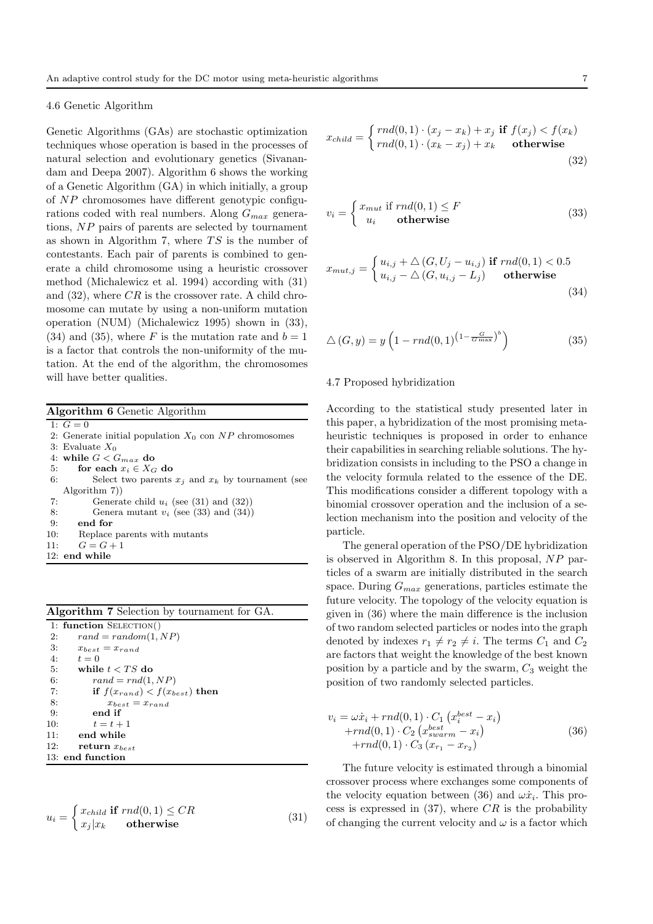# 4.6 Genetic Algorithm

Genetic Algorithms (GAs) are stochastic optimization techniques whose operation is based in the processes of natural selection and evolutionary genetics (Sivanandam and Deepa 2007). Algorithm 6 shows the working of a Genetic Algorithm (GA) in which initially, a group of NP chromosomes have different genotypic configurations coded with real numbers. Along  $G_{max}$  generations, NP pairs of parents are selected by tournament as shown in Algorithm 7, where  $TS$  is the number of contestants. Each pair of parents is combined to generate a child chromosome using a heuristic crossover method (Michalewicz et al. 1994) according with (31) and  $(32)$ , where  $CR$  is the crossover rate. A child chromosome can mutate by using a non-uniform mutation operation (NUM) (Michalewicz 1995) shown in (33), (34) and (35), where F is the mutation rate and  $b = 1$ is a factor that controls the non-uniformity of the mutation. At the end of the algorithm, the chromosomes will have better qualities.

| <b>Algorithm 6</b> Genetic Algorithm                        |
|-------------------------------------------------------------|
| 1: $G = 0$                                                  |
| 2: Generate initial population $X_0$ con NP chromosomes     |
| 3: Evaluate $X_0$                                           |
| 4: while $G < G_{max}$ do                                   |
| for each $x_i \in X_G$ do<br>5:                             |
| Select two parents $x_i$ and $x_k$ by tournament (see<br>6: |
| Algorithm 7)                                                |
| Generate child $u_i$ (see (31) and (32))<br>7:              |
| Genera mutant $v_i$ (see (33) and (34))<br>8:               |
| 9:<br>end for                                               |
| 10:<br>Replace parents with mutants                         |
| $G=G+1$<br>11:                                              |
| $12:$ end while                                             |

| Algorithm 7 Selection by tournament for GA. |
|---------------------------------------------|
| 1: function $SELECTION()$                   |
| 2:<br>$rand = random(1, NP)$                |
| 3:<br>$x_{best} = x_{rand}$                 |
| 4:<br>$t=0$                                 |
| 5:<br>while $t < TS$ do                     |
| 6:<br>$rand = rnd(1, NP)$                   |
| 7:<br>if $f(x_{rand}) < f(x_{best})$ then   |
| 8:<br>$x_{best} = x_{rand}$                 |
| 9:<br>end if                                |
| 10:<br>$t=t+1$                              |
| end while<br>11:                            |
| 12:<br>return $x_{best}$                    |
| 13: end function                            |

$$
u_i = \begin{cases} x_{child} & \text{if } rnd(0,1) \leq CR \\ x_j | x_k & \text{otherwise} \end{cases}
$$
(31)

$$
x_{child} = \begin{cases} rnd(0,1) \cdot (x_j - x_k) + x_j \text{ if } f(x_j) < f(x_k) \\ rnd(0,1) \cdot (x_k - x_j) + x_k \text{ otherwise} \end{cases} \tag{32}
$$

$$
v_i = \begin{cases} x_{mut} \text{ if } rnd(0,1) \le F \\ u_i \text{ otherwise} \end{cases}
$$
 (33)

$$
x_{mut,j} = \begin{cases} u_{i,j} + \triangle(G, U_j - u_{i,j}) & \text{if } rnd(0,1) < 0.5\\ u_{i,j} - \triangle(G, u_{i,j} - L_j) & \text{otherwise} \end{cases}
$$
\n(34)

$$
\triangle(G, y) = y \left( 1 - rnd(0, 1)^{\left( 1 - \frac{G}{G \max} \right)^b} \right) \tag{35}
$$

# 4.7 Proposed hybridization

According to the statistical study presented later in this paper, a hybridization of the most promising metaheuristic techniques is proposed in order to enhance their capabilities in searching reliable solutions. The hybridization consists in including to the PSO a change in the velocity formula related to the essence of the DE. This modifications consider a different topology with a binomial crossover operation and the inclusion of a selection mechanism into the position and velocity of the particle.

The general operation of the PSO/DE hybridization is observed in Algorithm 8. In this proposal, NP particles of a swarm are initially distributed in the search space. During  $G_{max}$  generations, particles estimate the future velocity. The topology of the velocity equation is given in (36) where the main difference is the inclusion of two random selected particles or nodes into the graph denoted by indexes  $r_1 \neq r_2 \neq i$ . The terms  $C_1$  and  $C_2$ are factors that weight the knowledge of the best known position by a particle and by the swarm,  $C_3$  weight the position of two randomly selected particles.

$$
v_i = \omega \dot{x}_i + rnd(0, 1) \cdot C_1 \left( x_i^{best} - x_i \right) +rnd(0, 1) \cdot C_2 \left( x_{swarm}^{best} - x_i \right) +rnd(0, 1) \cdot C_3 \left( x_{r_1} - x_{r_2} \right)
$$
(36)

The future velocity is estimated through a binomial crossover process where exchanges some components of the velocity equation between (36) and  $\omega \dot{x}_i$ . This process is expressed in  $(37)$ , where CR is the probability of changing the current velocity and  $\omega$  is a factor which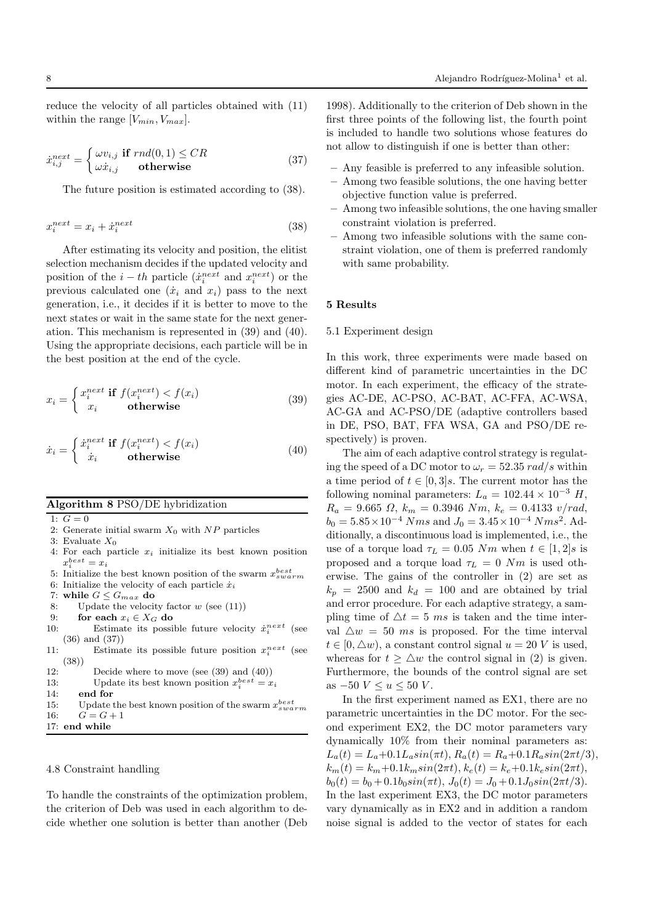reduce the velocity of all particles obtained with (11) within the range  $[V_{min}, V_{max}]$ .

$$
\dot{x}_{i,j}^{next} = \begin{cases}\n\omega v_{i,j} & \text{if } rnd(0,1) \le CR \\
\omega \dot{x}_{i,j} & \text{otherwise}\n\end{cases}
$$
\n(37)

The future position is estimated according to (38).

$$
x_i^{next} = x_i + \dot{x}_i^{next} \tag{38}
$$

After estimating its velocity and position, the elitist selection mechanism decides if the updated velocity and position of the  $i-th$  particle  $(\dot{x}_i^{next}$  and  $x_i^{next})$  or the previous calculated one  $(\dot{x}_i \text{ and } x_i)$  pass to the next generation, i.e., it decides if it is better to move to the next states or wait in the same state for the next generation. This mechanism is represented in (39) and (40). Using the appropriate decisions, each particle will be in the best position at the end of the cycle.

$$
x_i = \begin{cases} x_i^{next} \text{ if } f(x_i^{next}) < f(x_i) \\ x_i & \text{otherwise} \end{cases} \tag{39}
$$

$$
\dot{x}_i = \begin{cases} \dot{x}_i^{next} \text{ if } f(x_i^{next}) < f(x_i) \\ \dot{x}_i & \text{otherwise} \end{cases} \tag{40}
$$

### Algorithm 8 PSO/DE hybridization

- 1:  $G = 0$
- 2: Generate initial swarm  $X_0$  with NP particles
- 3: Evaluate  $X_0$
- 4: For each particle  $x_i$  initialize its best known position  $x_i^{best} = x_i$
- 5: Initialize the best known position of the swarm  $x_{swarm}^{best}$
- 6: Initialize the velocity of each particle  $\dot{x}_i$
- 7: while  $G \leq G_{max}$  do
- 8: Update the velocity factor  $w$  (see (11))
- 9: for each  $x_i \in X_G$  do 10: Estimate its possi
- 10: Estimate its possible future velocity  $\dot{x}_i^{next}$  (see (36) and (37))
- 11: Estimate its possible future position  $x_i^{next}$  (see (38))
- 12: Decide where to move (see (39) and (40))
- 13: Update its best known position  $x_i^{best} = x_i$
- $14<sup>·</sup>$  end for
- 15: Update the best known position of the swarm  $x_{swarm}^{best}$ 16:  $G = G + 1$

17: end while

#### 4.8 Constraint handling

To handle the constraints of the optimization problem, the criterion of Deb was used in each algorithm to decide whether one solution is better than another (Deb 1998). Additionally to the criterion of Deb shown in the first three points of the following list, the fourth point is included to handle two solutions whose features do not allow to distinguish if one is better than other:

- Any feasible is preferred to any infeasible solution.
- Among two feasible solutions, the one having better objective function value is preferred.
- Among two infeasible solutions, the one having smaller constraint violation is preferred.
- Among two infeasible solutions with the same constraint violation, one of them is preferred randomly with same probability.

# 5 Results

#### 5.1 Experiment design

In this work, three experiments were made based on different kind of parametric uncertainties in the DC motor. In each experiment, the efficacy of the strategies AC-DE, AC-PSO, AC-BAT, AC-FFA, AC-WSA, AC-GA and AC-PSO/DE (adaptive controllers based in DE, PSO, BAT, FFA WSA, GA and PSO/DE respectively) is proven.

The aim of each adaptive control strategy is regulating the speed of a DC motor to  $\omega_r = 52.35 \ rad/s$  within a time period of  $t \in [0,3]$ s. The current motor has the following nominal parameters:  $L_a = 102.44 \times 10^{-3}$  H,  $R_a = 9.665 \Omega$ ,  $k_m = 0.3946 \ Nm$ ,  $k_e = 0.4133 \ v/rad$ ,  $b_0 = 5.85 \times 10^{-4}$  Nms and  $J_0 = 3.45 \times 10^{-4}$  Nms<sup>2</sup>. Additionally, a discontinuous load is implemented, i.e., the use of a torque load  $\tau_L = 0.05$  Nm when  $t \in [1, 2]$ s is proposed and a torque load  $\tau_L = 0$  Nm is used otherwise. The gains of the controller in (2) are set as  $k_p = 2500$  and  $k_d = 100$  and are obtained by trial and error procedure. For each adaptive strategy, a sampling time of  $\Delta t = 5$  ms is taken and the time interval  $\Delta w = 50$  ms is proposed. For the time interval  $t \in [0, \triangle w)$ , a constant control signal  $u = 20$  V is used, whereas for  $t > \Delta w$  the control signal in (2) is given. Furthermore, the bounds of the control signal are set as  $-50$   $V \le u \le 50$  V.

In the first experiment named as EX1, there are no parametric uncertainties in the DC motor. For the second experiment EX2, the DC motor parameters vary dynamically 10% from their nominal parameters as:  $L_a(t) = L_a + 0.1L_a sin(\pi t), R_a(t) = R_a + 0.1R_a sin(2\pi t/3),$  $k_m(t) = k_m + 0.1k_m sin(2\pi t), k_e(t) = k_e + 0.1k_e sin(2\pi t),$  $b_0(t) = b_0 + 0.1b_0\sin(\pi t), J_0(t) = J_0 + 0.1J_0\sin(2\pi t/3).$ In the last experiment EX3, the DC motor parameters vary dynamically as in EX2 and in addition a random noise signal is added to the vector of states for each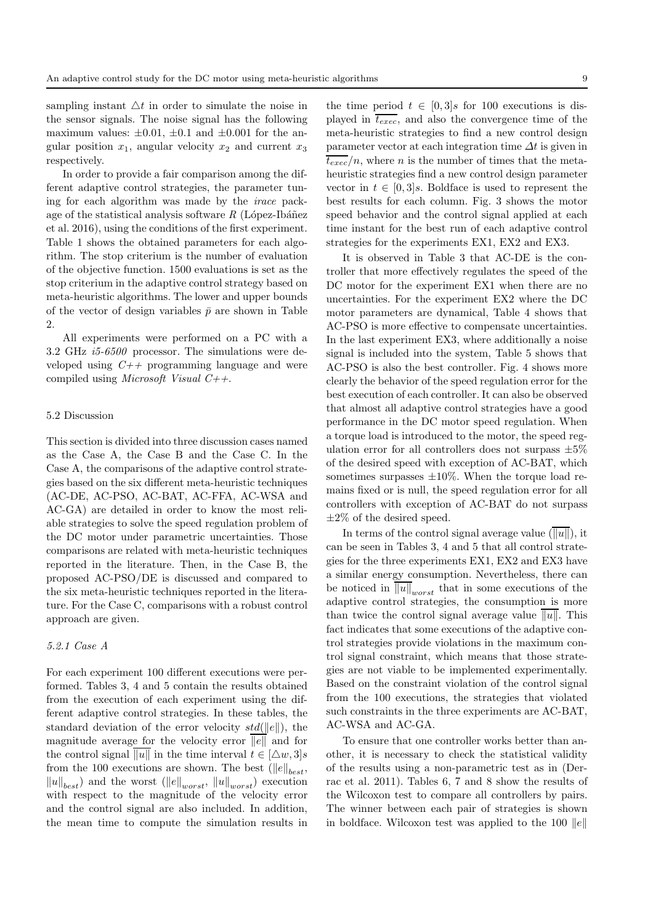sampling instant  $\Delta t$  in order to simulate the noise in the sensor signals. The noise signal has the following maximum values:  $\pm 0.01$ ,  $\pm 0.1$  and  $\pm 0.001$  for the angular position  $x_1$ , angular velocity  $x_2$  and current  $x_3$ respectively.

In order to provide a fair comparison among the different adaptive control strategies, the parameter tuning for each algorithm was made by the irace package of the statistical analysis software  $R$  (López-Ibáñez et al. 2016), using the conditions of the first experiment. Table 1 shows the obtained parameters for each algorithm. The stop criterium is the number of evaluation of the objective function. 1500 evaluations is set as the stop criterium in the adaptive control strategy based on meta-heuristic algorithms. The lower and upper bounds of the vector of design variables  $\bar{p}$  are shown in Table 2.

All experiments were performed on a PC with a 3.2 GHz i5-6500 processor. The simulations were developed using  $C_{++}$  programming language and were compiled using *Microsoft Visual C++*.

## 5.2 Discussion

This section is divided into three discussion cases named as the Case A, the Case B and the Case C. In the Case A, the comparisons of the adaptive control strategies based on the six different meta-heuristic techniques (AC-DE, AC-PSO, AC-BAT, AC-FFA, AC-WSA and AC-GA) are detailed in order to know the most reliable strategies to solve the speed regulation problem of the DC motor under parametric uncertainties. Those comparisons are related with meta-heuristic techniques reported in the literature. Then, in the Case B, the proposed AC-PSO/DE is discussed and compared to the six meta-heuristic techniques reported in the literature. For the Case C, comparisons with a robust control approach are given.

#### 5.2.1 Case A

For each experiment 100 different executions were performed. Tables 3, 4 and 5 contain the results obtained from the execution of each experiment using the different adaptive control strategies. In these tables, the standard deviation of the error velocity  $std(||e||)$ , the magnitude average for the velocity error  $\overline{||e||}$  and for the control signal  $\overline{\|u\|}$  in the time interval  $t \in [\Delta w, 3]s$ from the 100 executions are shown. The best  $(\|e\|_{best},$  $\|u\|_{best}$  and the worst  $(\|e\|_{worst}, \|u\|_{worst})$  execution with respect to the magnitude of the velocity error and the control signal are also included. In addition, the mean time to compute the simulation results in

the time period  $t \in [0,3]$ s for 100 executions is displayed in  $\overline{t_{exec}}$ , and also the convergence time of the meta-heuristic strategies to find a new control design parameter vector at each integration time  $\Delta t$  is given in  $\overline{t_{exec}}/n$ , where *n* is the number of times that the metaheuristic strategies find a new control design parameter vector in  $t \in [0, 3]$ s. Boldface is used to represent the best results for each column. Fig. 3 shows the motor speed behavior and the control signal applied at each time instant for the best run of each adaptive control strategies for the experiments EX1, EX2 and EX3.

It is observed in Table 3 that AC-DE is the controller that more effectively regulates the speed of the DC motor for the experiment EX1 when there are no uncertainties. For the experiment EX2 where the DC motor parameters are dynamical, Table 4 shows that AC-PSO is more effective to compensate uncertainties. In the last experiment EX3, where additionally a noise signal is included into the system, Table 5 shows that AC-PSO is also the best controller. Fig. 4 shows more clearly the behavior of the speed regulation error for the best execution of each controller. It can also be observed that almost all adaptive control strategies have a good performance in the DC motor speed regulation. When a torque load is introduced to the motor, the speed regulation error for all controllers does not surpass  $\pm 5\%$ of the desired speed with exception of AC-BAT, which sometimes surpasses  $\pm 10\%$ . When the torque load remains fixed or is null, the speed regulation error for all controllers with exception of AC-BAT do not surpass  $\pm 2\%$  of the desired speed.

In terms of the control signal average value  $(\overline{\Vert u \Vert})$ , it can be seen in Tables 3, 4 and 5 that all control strategies for the three experiments EX1, EX2 and EX3 have a similar energy consumption. Nevertheless, there can be noticed in  $\overline{\|u\|}_{worst}$  that in some executions of the adaptive control strategies, the consumption is more than twice the control signal average value  $||u||$ . This fact indicates that some executions of the adaptive control strategies provide violations in the maximum control signal constraint, which means that those strategies are not viable to be implemented experimentally. Based on the constraint violation of the control signal from the 100 executions, the strategies that violated such constraints in the three experiments are AC-BAT, AC-WSA and AC-GA.

To ensure that one controller works better than another, it is necessary to check the statistical validity of the results using a non-parametric test as in (Derrac et al. 2011). Tables 6, 7 and 8 show the results of the Wilcoxon test to compare all controllers by pairs. The winner between each pair of strategies is shown in boldface. Wilcoxon test was applied to the 100  $||e||$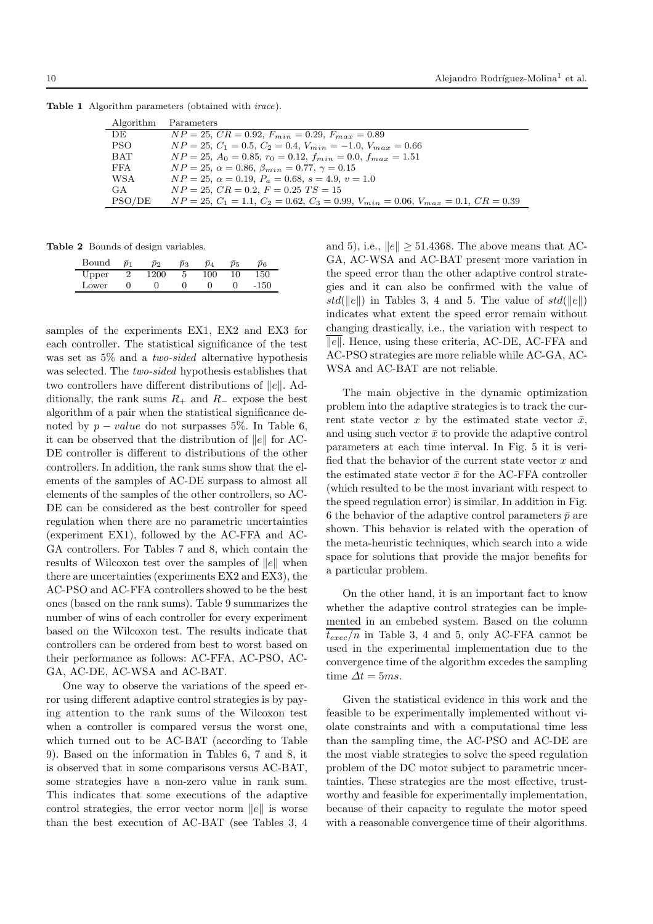| Algorithm  | Parameters                                                                             |
|------------|----------------------------------------------------------------------------------------|
| DE.        | $NP = 25, CR = 0.92, F_{min} = 0.29, F_{max} = 0.89$                                   |
| PSO.       | $NP = 25, C_1 = 0.5, C_2 = 0.4, V_{min} = -1.0, V_{max} = 0.66$                        |
| <b>BAT</b> | $NP = 25, A_0 = 0.85, r_0 = 0.12, f_{min} = 0.0, f_{max} = 1.51$                       |
| FFA        | $NP = 25, \alpha = 0.86, \beta_{min} = 0.77, \gamma = 0.15$                            |
| WSA        | $NP = 25, \ \alpha = 0.19, \ P_a = 0.68, \ s = 4.9, \ v = 1.0$                         |
| GA         | $NP = 25, CR = 0.2, F = 0.25, TS = 15$                                                 |
| PSO/DE     | $NP = 25, C_1 = 1.1, C_2 = 0.62, C_3 = 0.99, V_{min} = 0.06, V_{max} = 0.1, CR = 0.39$ |

Table 1 Algorithm parameters (obtained with *irace*).

Table 2 Bounds of design variables.

| Bound | $\bar{n}$ | $_{p_2}$ | $_{p_3}$ | $\overline{p_4}$ | $p_5$ | $p_6$  |
|-------|-----------|----------|----------|------------------|-------|--------|
| Upper |           | 1200     |          | 100              | 10    | 150    |
| Lower |           |          |          |                  |       | $-150$ |

samples of the experiments EX1, EX2 and EX3 for each controller. The statistical significance of the test was set as 5% and a two-sided alternative hypothesis was selected. The *two-sided* hypothesis establishes that two controllers have different distributions of  $||e||$ . Additionally, the rank sums  $R_+$  and  $R_-$  expose the best algorithm of a pair when the statistical significance denoted by  $p-value$  do not surpasses 5%. In Table 6, it can be observed that the distribution of  $||e||$  for AC-DE controller is different to distributions of the other controllers. In addition, the rank sums show that the elements of the samples of AC-DE surpass to almost all elements of the samples of the other controllers, so AC-DE can be considered as the best controller for speed regulation when there are no parametric uncertainties (experiment EX1), followed by the AC-FFA and AC-GA controllers. For Tables 7 and 8, which contain the results of Wilcoxon test over the samples of  $||e||$  when there are uncertainties (experiments EX2 and EX3), the AC-PSO and AC-FFA controllers showed to be the best ones (based on the rank sums). Table 9 summarizes the number of wins of each controller for every experiment based on the Wilcoxon test. The results indicate that controllers can be ordered from best to worst based on their performance as follows: AC-FFA, AC-PSO, AC-GA, AC-DE, AC-WSA and AC-BAT.

One way to observe the variations of the speed error using different adaptive control strategies is by paying attention to the rank sums of the Wilcoxon test when a controller is compared versus the worst one, which turned out to be AC-BAT (according to Table 9). Based on the information in Tables 6, 7 and 8, it is observed that in some comparisons versus AC-BAT, some strategies have a non-zero value in rank sum. This indicates that some executions of the adaptive control strategies, the error vector norm  $||e||$  is worse than the best execution of AC-BAT (see Tables 3, 4

and 5), i.e.,  $||e|| > 51.4368$ . The above means that AC-GA, AC-WSA and AC-BAT present more variation in the speed error than the other adaptive control strategies and it can also be confirmed with the value of  $std(\Vert e \Vert)$  in Tables 3, 4 and 5. The value of  $std(\Vert e \Vert)$ indicates what extent the speed error remain without changing drastically, i.e., the variation with respect to  $\overline{||e||}$ . Hence, using these criteria, AC-DE, AC-FFA and AC-PSO strategies are more reliable while AC-GA, AC-WSA and AC-BAT are not reliable.

The main objective in the dynamic optimization problem into the adaptive strategies is to track the current state vector x by the estimated state vector  $\bar{x}$ , and using such vector  $\bar{x}$  to provide the adaptive control parameters at each time interval. In Fig. 5 it is verified that the behavior of the current state vector  $x$  and the estimated state vector  $\bar{x}$  for the AC-FFA controller (which resulted to be the most invariant with respect to the speed regulation error) is similar. In addition in Fig. 6 the behavior of the adaptive control parameters  $\bar{p}$  are shown. This behavior is related with the operation of the meta-heuristic techniques, which search into a wide space for solutions that provide the major benefits for a particular problem.

On the other hand, it is an important fact to know whether the adaptive control strategies can be implemented in an embebed system. Based on the column  $\overline{t_{exec}/n}$  in Table 3, 4 and 5, only AC-FFA cannot be used in the experimental implementation due to the convergence time of the algorithm excedes the sampling time  $\Delta t = 5ms$ .

Given the statistical evidence in this work and the feasible to be experimentally implemented without violate constraints and with a computational time less than the sampling time, the AC-PSO and AC-DE are the most viable strategies to solve the speed regulation problem of the DC motor subject to parametric uncertainties. These strategies are the most effective, trustworthy and feasible for experimentally implementation, because of their capacity to regulate the motor speed with a reasonable convergence time of their algorithms.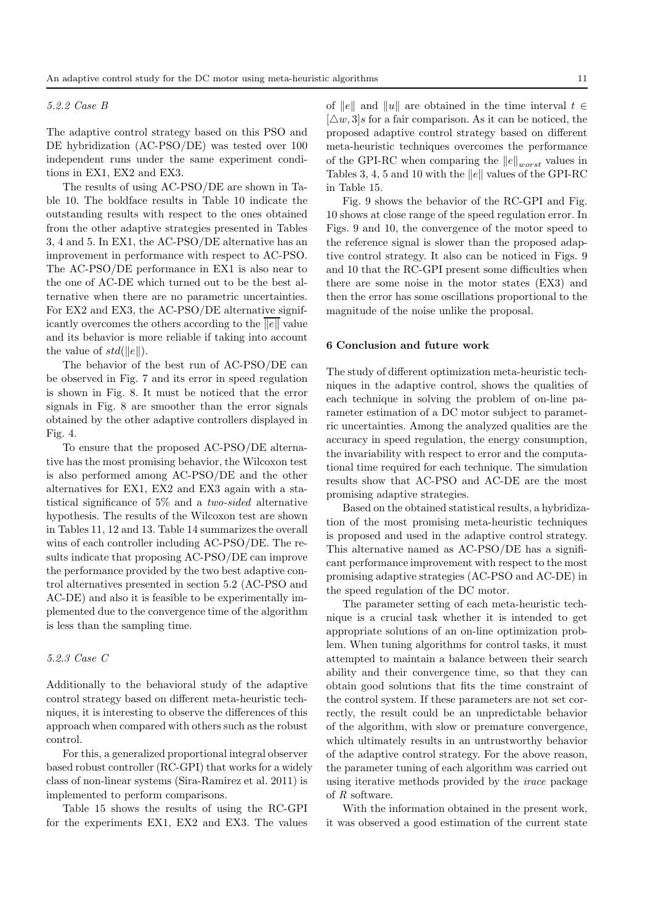# 5.2.2 Case B

The adaptive control strategy based on this PSO and DE hybridization (AC-PSO/DE) was tested over 100 independent runs under the same experiment conditions in EX1, EX2 and EX3.

The results of using AC-PSO/DE are shown in Table 10. The boldface results in Table 10 indicate the outstanding results with respect to the ones obtained from the other adaptive strategies presented in Tables 3, 4 and 5. In EX1, the AC-PSO/DE alternative has an improvement in performance with respect to AC-PSO. The AC-PSO/DE performance in EX1 is also near to the one of AC-DE which turned out to be the best alternative when there are no parametric uncertainties. For EX2 and EX3, the AC-PSO/DE alternative significantly overcomes the others according to the  $||e||$  value and its behavior is more reliable if taking into account the value of  $std(||e||)$ .

The behavior of the best run of AC-PSO/DE can be observed in Fig. 7 and its error in speed regulation is shown in Fig. 8. It must be noticed that the error signals in Fig. 8 are smoother than the error signals obtained by the other adaptive controllers displayed in Fig. 4.

To ensure that the proposed AC-PSO/DE alternative has the most promising behavior, the Wilcoxon test is also performed among AC-PSO/DE and the other alternatives for EX1, EX2 and EX3 again with a statistical significance of 5% and a two-sided alternative hypothesis. The results of the Wilcoxon test are shown in Tables 11, 12 and 13. Table 14 summarizes the overall wins of each controller including AC-PSO/DE. The results indicate that proposing AC-PSO/DE can improve the performance provided by the two best adaptive control alternatives presented in section 5.2 (AC-PSO and AC-DE) and also it is feasible to be experimentally implemented due to the convergence time of the algorithm is less than the sampling time.

### 5.2.3 Case C

Additionally to the behavioral study of the adaptive control strategy based on different meta-heuristic techniques, it is interesting to observe the differences of this approach when compared with others such as the robust control.

For this, a generalized proportional integral observer based robust controller (RC-GPI) that works for a widely class of non-linear systems (Sira-Ramirez et al. 2011) is implemented to perform comparisons.

Table 15 shows the results of using the RC-GPI for the experiments EX1, EX2 and EX3. The values

of  $||e||$  and  $||u||$  are obtained in the time interval  $t \in$  $[\triangle w, 3]$ s for a fair comparison. As it can be noticed, the proposed adaptive control strategy based on different meta-heuristic techniques overcomes the performance of the GPI-RC when comparing the  $||e||_{worst}$  values in Tables 3, 4, 5 and 10 with the  $||e||$  values of the GPI-RC in Table 15.

Fig. 9 shows the behavior of the RC-GPI and Fig. 10 shows at close range of the speed regulation error. In Figs. 9 and 10, the convergence of the motor speed to the reference signal is slower than the proposed adaptive control strategy. It also can be noticed in Figs. 9 and 10 that the RC-GPI present some difficulties when there are some noise in the motor states (EX3) and then the error has some oscillations proportional to the magnitude of the noise unlike the proposal.

### 6 Conclusion and future work

The study of different optimization meta-heuristic techniques in the adaptive control, shows the qualities of each technique in solving the problem of on-line parameter estimation of a DC motor subject to parametric uncertainties. Among the analyzed qualities are the accuracy in speed regulation, the energy consumption, the invariability with respect to error and the computational time required for each technique. The simulation results show that AC-PSO and AC-DE are the most promising adaptive strategies.

Based on the obtained statistical results, a hybridization of the most promising meta-heuristic techniques is proposed and used in the adaptive control strategy. This alternative named as AC-PSO/DE has a significant performance improvement with respect to the most promising adaptive strategies (AC-PSO and AC-DE) in the speed regulation of the DC motor.

The parameter setting of each meta-heuristic technique is a crucial task whether it is intended to get appropriate solutions of an on-line optimization problem. When tuning algorithms for control tasks, it must attempted to maintain a balance between their search ability and their convergence time, so that they can obtain good solutions that fits the time constraint of the control system. If these parameters are not set correctly, the result could be an unpredictable behavior of the algorithm, with slow or premature convergence, which ultimately results in an untrustworthy behavior of the adaptive control strategy. For the above reason, the parameter tuning of each algorithm was carried out using iterative methods provided by the irace package of  $R$  software.

With the information obtained in the present work, it was observed a good estimation of the current state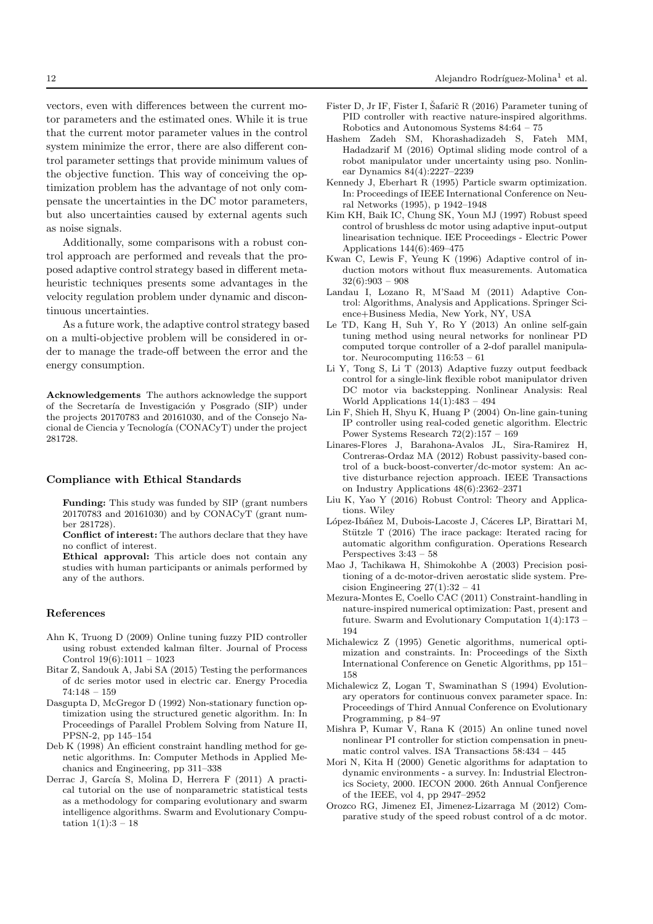vectors, even with differences between the current motor parameters and the estimated ones. While it is true that the current motor parameter values in the control system minimize the error, there are also different control parameter settings that provide minimum values of the objective function. This way of conceiving the optimization problem has the advantage of not only compensate the uncertainties in the DC motor parameters, but also uncertainties caused by external agents such as noise signals.

Additionally, some comparisons with a robust control approach are performed and reveals that the proposed adaptive control strategy based in different metaheuristic techniques presents some advantages in the velocity regulation problem under dynamic and discontinuous uncertainties.

As a future work, the adaptive control strategy based on a multi-objective problem will be considered in order to manage the trade-off between the error and the energy consumption.

Acknowledgements The authors acknowledge the support of the Secretaría de Investigación y Posgrado (SIP) under the projects 20170783 and 20161030, and of the Consejo Nacional de Ciencia y Tecnología (CONACyT) under the project 281728.

#### Compliance with Ethical Standards

Funding: This study was funded by SIP (grant numbers 20170783 and 20161030) and by CONACyT (grant number 281728).

Conflict of interest: The authors declare that they have no conflict of interest.

Ethical approval: This article does not contain any studies with human participants or animals performed by any of the authors.

## References

- Ahn K, Truong D (2009) Online tuning fuzzy PID controller using robust extended kalman filter. Journal of Process Control 19(6):1011 – 1023
- Bitar Z, Sandouk A, Jabi SA (2015) Testing the performances of dc series motor used in electric car. Energy Procedia 74:148 – 159
- Dasgupta D, McGregor D (1992) Non-stationary function optimization using the structured genetic algorithm. In: In Proceedings of Parallel Problem Solving from Nature II, PPSN-2, pp 145–154
- Deb K (1998) An efficient constraint handling method for genetic algorithms. In: Computer Methods in Applied Mechanics and Engineering, pp 311–338
- Derrac J, García S, Molina D, Herrera F (2011) A practical tutorial on the use of nonparametric statistical tests as a methodology for comparing evolutionary and swarm intelligence algorithms. Swarm and Evolutionary Computation  $1(1):3 - 18$
- Fister D, Jr IF, Fister I, Šafarič R (2016) Parameter tuning of PID controller with reactive nature-inspired algorithms. Robotics and Autonomous Systems 84:64 – 75
- Hashem Zadeh SM, Khorashadizadeh S, Fateh MM, Hadadzarif M (2016) Optimal sliding mode control of a robot manipulator under uncertainty using pso. Nonlinear Dynamics 84(4):2227–2239
- Kennedy J, Eberhart R (1995) Particle swarm optimization. In: Proceedings of IEEE International Conference on Neural Networks (1995), p 1942–1948
- Kim KH, Baik IC, Chung SK, Youn MJ (1997) Robust speed control of brushless dc motor using adaptive input-output linearisation technique. IEE Proceedings - Electric Power Applications 144(6):469–475
- Kwan C, Lewis F, Yeung K (1996) Adaptive control of induction motors without flux measurements. Automatica  $32(6):903 - 908$
- Landau I, Lozano R, M'Saad M (2011) Adaptive Control: Algorithms, Analysis and Applications. Springer Science+Business Media, New York, NY, USA
- Le TD, Kang H, Suh Y, Ro Y (2013) An online self-gain tuning method using neural networks for nonlinear PD computed torque controller of a 2-dof parallel manipulator. Neurocomputing 116:53 – 61
- Li Y, Tong S, Li T (2013) Adaptive fuzzy output feedback control for a single-link flexible robot manipulator driven DC motor via backstepping. Nonlinear Analysis: Real World Applications  $14(1):483 - 494$
- Lin F, Shieh H, Shyu K, Huang P (2004) On-line gain-tuning IP controller using real-coded genetic algorithm. Electric Power Systems Research 72(2):157 – 169
- Linares-Flores J, Barahona-Avalos JL, Sira-Ramirez H, Contreras-Ordaz MA (2012) Robust passivity-based control of a buck-boost-converter/dc-motor system: An active disturbance rejection approach. IEEE Transactions on Industry Applications 48(6):2362–2371
- Liu K, Yao Y (2016) Robust Control: Theory and Applications. Wiley
- López-Ibáñez M, Dubois-Lacoste J, Cáceres LP, Birattari M, Stützle T (2016) The irace package: Iterated racing for automatic algorithm configuration. Operations Research Perspectives 3:43 – 58
- Mao J, Tachikawa H, Shimokohbe A (2003) Precision positioning of a dc-motor-driven aerostatic slide system. Precision Engineering  $27(1):32 - 41$
- Mezura-Montes E, Coello CAC (2011) Constraint-handling in nature-inspired numerical optimization: Past, present and future. Swarm and Evolutionary Computation 1(4):173 – 194
- Michalewicz Z (1995) Genetic algorithms, numerical optimization and constraints. In: Proceedings of the Sixth International Conference on Genetic Algorithms, pp 151– 158
- Michalewicz Z, Logan T, Swaminathan S (1994) Evolutionary operators for continuous convex parameter space. In: Proceedings of Third Annual Conference on Evolutionary Programming, p 84–97
- Mishra P, Kumar V, Rana K (2015) An online tuned novel nonlinear PI controller for stiction compensation in pneumatic control valves. ISA Transactions 58:434 – 445
- Mori N, Kita H (2000) Genetic algorithms for adaptation to dynamic environments - a survey. In: Industrial Electronics Society, 2000. IECON 2000. 26th Annual Confjerence of the IEEE, vol 4, pp 2947–2952
- Orozco RG, Jimenez EI, Jimenez-Lizarraga M (2012) Comparative study of the speed robust control of a dc motor.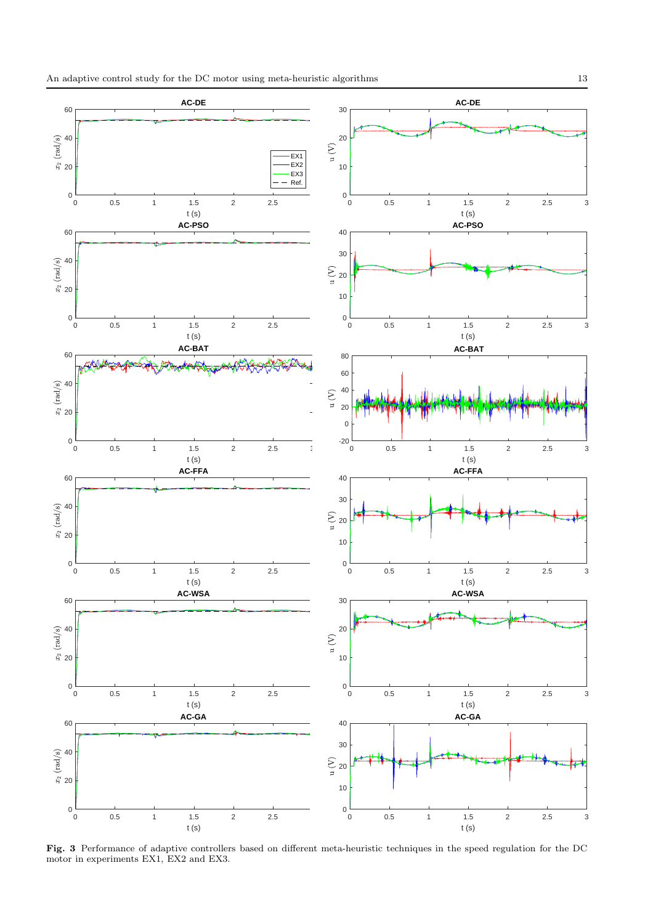

Fig. 3 Performance of adaptive controllers based on different meta-heuristic techniques in the speed regulation for the DC motor in experiments EX1, EX2 and EX3.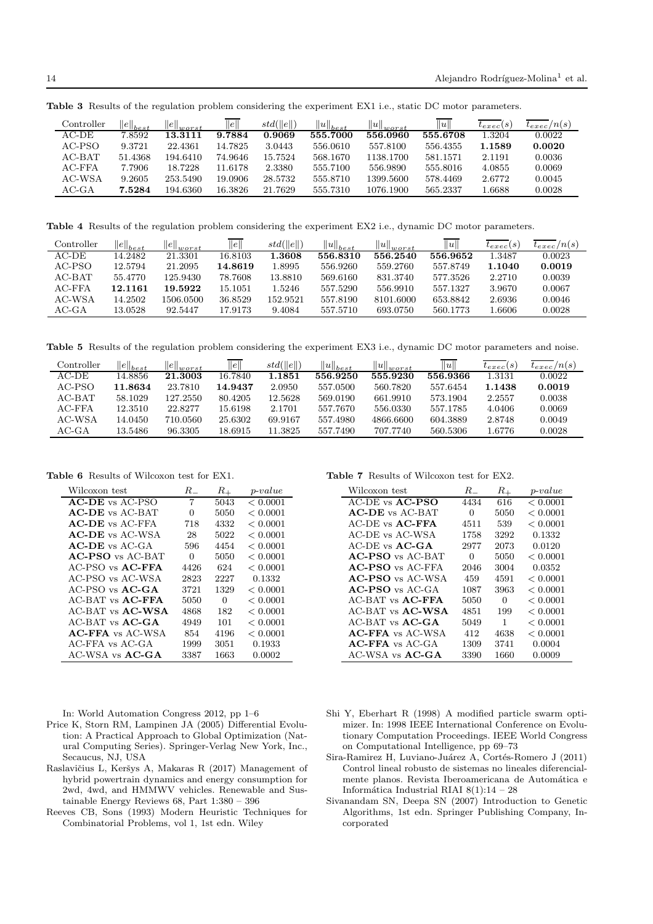| Controller | $  e  _{best}$ | $\left\ e\right\ _{worst}$ | $\ e\ $ | $std(\ e\ )$ | $  u  _{best}$ | $  u  _{worst}$ | u        | $t_{exec}(s)$ | $t_{exec}/n(s)$ |
|------------|----------------|----------------------------|---------|--------------|----------------|-----------------|----------|---------------|-----------------|
| $AC-DE$    | 7.8592         | 13.3111                    | 9.7884  | 0.9069       | 555.7000       | 556.0960        | 555.6708 | 1.3204        | 0.0022          |
| AC-PSO     | 9.3721         | 22.4361                    | 14.7825 | 3.0443       | 556.0610       | 557.8100        | 556.4355 | 1.1589        | 0.0020          |
| $AC-BAT$   | 51.4368        | 194.6410                   | 74.9646 | 15.7524      | 568.1670       | 1138.1700       | 581.1571 | 2.1191        | 0.0036          |
| $AC$ -FFA  | 7.7906         | 18.7228                    | 11.6178 | 2.3380       | 555.7100       | 556.9890        | 555.8016 | 4.0855        | 0.0069          |
| AC-WSA     | 9.2605         | 253.5490                   | 19.0906 | 28.5732      | 555.8710       | 1399.5600       | 578.4469 | 2.6772        | 0.0045          |
| $AC$ -GA   | 7.5284         | 194.6360                   | 16.3826 | 21.7629      | 555.7310       | 1076.1900       | 565.2337 | l.6688        | 0.0028          |

Table 3 Results of the regulation problem considering the experiment EX1 i.e., static DC motor parameters.

Table 4 Results of the regulation problem considering the experiment EX2 i.e., dynamic DC motor parameters.

| Controller | $\left\ e\right\ _{best}$ | $\left\Vert e\right\Vert _{worst}$ | $\ e\ $ | std(  e  ) | $  u  _{best}$ | $  u  _{worst}$ | u        | $t_{exec}(s)$ | $t_{exec}/n(s)$ |
|------------|---------------------------|------------------------------------|---------|------------|----------------|-----------------|----------|---------------|-----------------|
| $AC-DE$    | 14.2482                   | 21.3301                            | 16.8103 | 1.3608     | 556.8310       | 556.2540        | 556.9652 | 1.3487        | 0.0023          |
| $AC-PSO$   | 12.5794                   | 21.2095                            | 14.8619 | .8995      | 556.9260       | 559.2760        | 557.8749 | 1.1040        | 0.0019          |
| $AC-BAT$   | 55.4770                   | 125.9430                           | 78.7608 | 13.8810    | 569.6160       | 831.3740        | 577.3526 | 2.2710        | 0.0039          |
| $AC$ -FFA  | 12.1161                   | 19.5922                            | 15.1051 | 1.5246     | 557.5290       | 556.9910        | 557.1327 | 3.9670        | 0.0067          |
| AC-WSA     | 14.2502                   | 1506.0500                          | 36.8529 | 152.9521   | 557.8190       | 8101.6000       | 653.8842 | 2.6936        | 0.0046          |
| $AC-GA$    | 13.0528                   | 92.5447                            | 17.9173 | 9.4084     | 557.5710       | 693.0750        | 560.1773 | 1.6606        | 0.0028          |

Table 5 Results of the regulation problem considering the experiment EX3 i.e., dynamic DC motor parameters and noise.

| Controller | $\left\ e\right\ _{best}$ | $  e  _{worst}$ | $\ e\ $ | std(  e  ) | $  u  _{best}$ | $  u  _{worst}$ | u        | $t_{exec}(s)$ | $t_{exec}/n(s)$ |
|------------|---------------------------|-----------------|---------|------------|----------------|-----------------|----------|---------------|-----------------|
| $AC-DE$    | 14.8856                   | 21.3003         | 16.7840 | 1.1851     | 556.9250       | 555.9230        | 556.9366 | 1.3131        | 0.0022          |
| AC-PSO     | 11.8634                   | 23.7810         | 14.9437 | 2.0950     | 557.0500       | 560.7820        | 557.6454 | 1.1438        | 0.0019          |
| $AC-BAT$   | 58.1029                   | 127.2550        | 80.4205 | 12.5628    | 569.0190       | 661.9910        | 573.1904 | 2.2557        | 0.0038          |
| $AC$ -FFA  | 12.3510                   | 22.8277         | 15.6198 | 2.1701     | 557.7670       | 556.0330        | 557.1785 | 4.0406        | 0.0069          |
| AC-WSA     | 14.0450                   | 710.0560        | 25.6302 | 69.9167    | 557.4980       | 4866.6600       | 604.3889 | 2.8748        | 0.0049          |
| $AC-GA$    | 13.5486                   | 96.3305         | 18.6915 | 11.3825    | 557.7490       | 707.7740        | 560.5306 | 1.6776        | 0.0028          |

Table 6 Results of Wilcoxon test for EX1.

| Wilcoxon test           | $R_{-}$ | $R_{+}$ | $p-value$ |
|-------------------------|---------|---------|-----------|
| $AC-DE$ vs $AC-PSO$     | 7       | 5043    | < 0.0001  |
| <b>AC-DE</b> vs AC-BAT  | 0       | 5050    | < 0.0001  |
| <b>AC-DE</b> vs AC-FFA  | 718     | 4332    | < 0.0001  |
| <b>AC-DE</b> vs AC-WSA  | 28      | 5022    | < 0.0001  |
| $AC-DE$ vs $AC-GA$      | 596     | 4454    | < 0.0001  |
| $AC-PSO$ vs $AC-BAT$    | 0       | 5050    | < 0.0001  |
| $AC-PSO$ vs $AC-FFA$    | 4426    | 624     | < 0.0001  |
| AC-PSO vs AC-WSA        | 2823    | 2227    | 0.1332    |
| $AC-PSO$ vs $AC-GA$     | 3721    | 1329    | < 0.0001  |
| AC-BAT vs <b>AC-FFA</b> | 5050    | 0       | < 0.0001  |
| AC-BAT vs <b>AC-WSA</b> | 4868    | 182     | < 0.0001  |
| $AC-BAT$ vs $AC-CA$     | 4949    | 101     | < 0.0001  |
| <b>AC-FFA</b> vs AC-WSA | 854     | 4196    | < 0.0001  |
| AC-FFA vs AC-GA         | 1999    | 3051    | 0.1933    |
| $AC-WSA$ vs $AC-GA$     | 3387    | 1663    | 0.0002    |

In: World Automation Congress 2012, pp 1–6

- Price K, Storn RM, Lampinen JA (2005) Differential Evolution: A Practical Approach to Global Optimization (Natural Computing Series). Springer-Verlag New York, Inc., Secaucus, NJ, USA
- Raslavičius L, Keršys A, Makaras R (2017) Management of hybrid powertrain dynamics and energy consumption for 2wd, 4wd, and HMMWV vehicles. Renewable and Sustainable Energy Reviews 68, Part 1:380 – 396
- Reeves CB, Sons (1993) Modern Heuristic Techniques for Combinatorial Problems, vol 1, 1st edn. Wiley

Table 7 Results of Wilcoxon test for EX2.

| Wilcoxon test           | R.   | $R_{+}$ | $p-value$ |
|-------------------------|------|---------|-----------|
| $AC-DE$ vs $AC-PSO$     | 4434 | 616     | < 0.0001  |
| <b>AC-DE</b> vs AC-BAT  | 0    | 5050    | < 0.0001  |
| AC-DE vs <b>AC-FFA</b>  | 4511 | 539     | < 0.0001  |
| AC-DE vs AC-WSA         | 1758 | 3292    | 0.1332    |
| $AC-DE$ vs $AC-GA$      | 2977 | 2073    | 0.0120    |
| <b>AC-PSO</b> vs AC-BAT | 0    | 5050    | < 0.0001  |
| $AC-PSO$ vs $AC-FFA$    | 2046 | 3004    | 0.0352    |
| <b>AC-PSO</b> vs AC-WSA | 459  | 4591    | < 0.0001  |
| $AC-PSO$ vs $AC-GA$     | 1087 | 3963    | < 0.0001  |
| $AC-BAT$ vs $AC-FFA$    | 5050 | 0       | < 0.0001  |
| AC-BAT vs <b>AC-WSA</b> | 4851 | 199     | < 0.0001  |
| $AC-BAT$ vs $AC-GA$     | 5049 | 1       | < 0.0001  |
| $AC$ -FFA $vs$ AC-WSA   | 412  | 4638    | < 0.0001  |
| $AC$ -FFA vs $AC$ -GA   | 1309 | 3741    | 0.0004    |
| AC-WSA vs <b>AC-GA</b>  | 3390 | 1660    | 0.0009    |

- Shi Y, Eberhart R (1998) A modified particle swarm optimizer. In: 1998 IEEE International Conference on Evolutionary Computation Proceedings. IEEE World Congress on Computational Intelligence, pp 69–73
- Sira-Ramirez H, Luviano-Juárez A, Cortés-Romero J (2011) Control lineal robusto de sistemas no lineales diferencialmente planos. Revista Iberoamericana de Automática e Informática Industrial RIAI  $8(1):14 - 28$
- Sivanandam SN, Deepa SN (2007) Introduction to Genetic Algorithms, 1st edn. Springer Publishing Company, Incorporated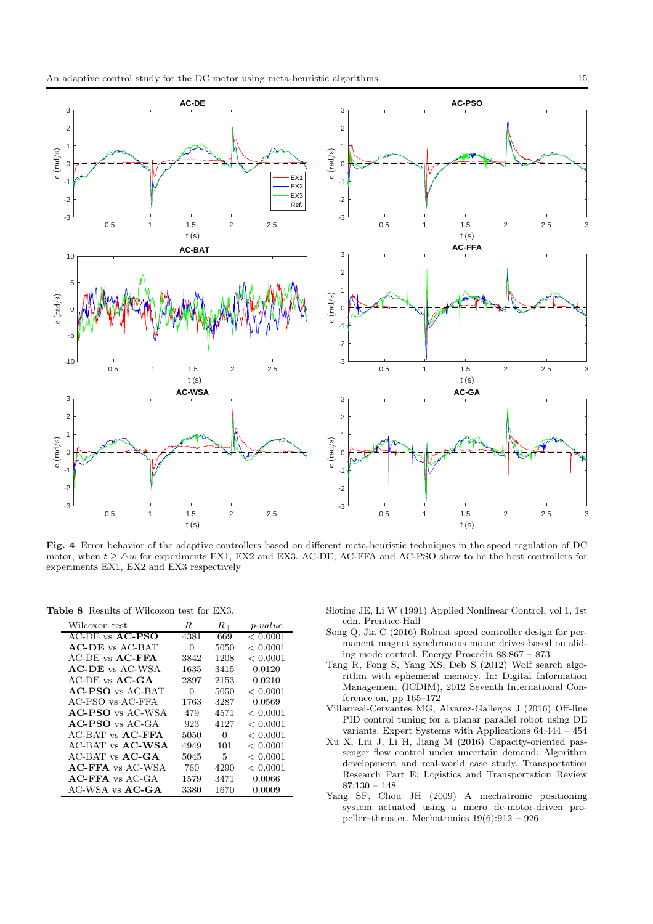

Fig. 4 Error behavior of the adaptive controllers based on different meta-heuristic techniques in the speed regulation of DC motor, when  $t \geq \Delta w$  for experiments EX1, EX2 and EX3. AC-DE, AC-FFA and AC-PSO show to be the best controllers for experiments EX1, EX2 and EX3 respectively

Table 8 Results of Wilcoxon test for EX3.

| Wilcoxon test          | $R_{-}$ | $R_{+}$ | $p-value$ |
|------------------------|---------|---------|-----------|
| $AC-DE$ vs $AC-PSO$    | 4381    | 669     | < 0.0001  |
| <b>AC-DE</b> vs AC-BAT | 0       | 5050    | < 0.0001  |
| AC-DE vs <b>AC-FFA</b> | 3842    | 1208    | < 0.0001  |
| $AC-DE$ vs $AC-WSA$    | 1635    | 3415    | 0.0120    |
| $AC-DE$ vs $AC-GA$     | 2897    | 2153    | 0.0210    |
| $AC-PSO$ vs $AC-BAT$   | 0       | 5050    | < 0.0001  |
| AC-PSO vs AC-FFA       | 1763    | 3287    | 0.0569    |
| $AC-PSO$ vs $AC-WSA$   | 479     | 4571    | < 0.0001  |
| $AC-PSO$ vs $AC-GA$    | 923     | 4127    | < 0.0001  |
| $AC-BAT$ vs $AC-FFA$   | 5050    | 0       | < 0.0001  |
| $AC-BAT$ vs $AC-WSA$   | 4949    | 101     | < 0.0001  |
| $AC-BAT$ vs $AC-CA$    | 5045    | 5       | < 0.0001  |
| $AC$ -FFA vs $AC$ -WSA | 760     | 4290    | < 0.0001  |
| $AC$ -FFA vs $AC$ -GA  | 1579    | 3471    | 0.0066    |
| $AC-WSA$ vs $AC-CA$    | 3380    | 1670    | 0.0009    |

Slotine JE, Li W (1991) Applied Nonlinear Control, vol 1, 1st edn. Prentice-Hall

- Song Q, Jia C (2016) Robust speed controller design for permanent magnet synchronous motor drives based on sliding mode control. Energy Procedia 88:867 – 873
- Tang R, Fong S, Yang XS, Deb S (2012) Wolf search algorithm with ephemeral memory. In: Digital Information Management (ICDIM), 2012 Seventh International Conference on, pp 165–172
- Villarreal-Cervantes MG, Alvarez-Gallegos J (2016) Off-line PID control tuning for a planar parallel robot using DE variants. Expert Systems with Applications 64:444 – 454
- Xu X, Liu J, Li H, Jiang M (2016) Capacity-oriented passenger flow control under uncertain demand: Algorithm development and real-world case study. Transportation Research Part E: Logistics and Transportation Review 87:130 – 148
- Yang SF, Chou JH (2009) A mechatronic positioning system actuated using a micro dc-motor-driven propeller–thruster. Mechatronics 19(6):912 – 926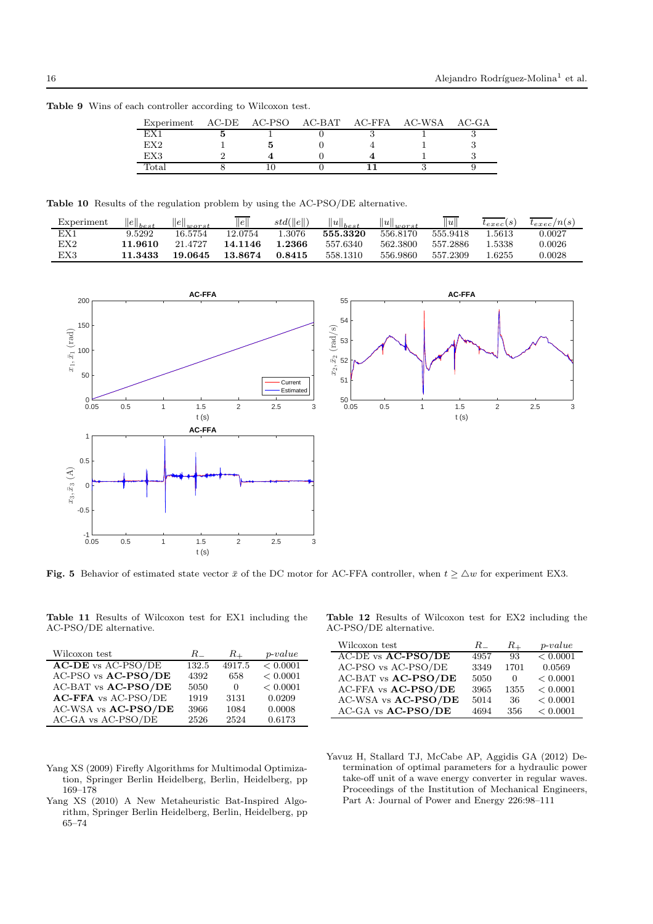| Experiment      | AC-DE | AC-PSO | AC-BAT AC-FFA AC-WSA |  | $AC-GA$ |
|-----------------|-------|--------|----------------------|--|---------|
|                 |       |        |                      |  |         |
| EX <sub>2</sub> |       |        |                      |  |         |
| EX3             |       |        |                      |  |         |
| Totai           |       |        |                      |  |         |

Table 9 Wins of each controller according to Wilcoxon test.

Table 10 Results of the regulation problem by using the AC-PSO/DE alternative.

| Experiment   | $  e  _{best}$ | $  e  _{worst}$ | $\ e\ $ | std(  e  ) | $  u  _{best}$ | $  u  _{worst}$ | $\ u\ $  | $t_{exec}(s)$ | $t_{exec}/n(s)$ |
|--------------|----------------|-----------------|---------|------------|----------------|-----------------|----------|---------------|-----------------|
|              | 9.5292         | 16.5754         | 12.0754 | .3076      | 555.3320       | 556.8170        | 555.9418 | .5613         | 0.0027          |
| $_{\rm EX2}$ | 11.9610        | 21.4727         | 14.1146 | 1.2366     | 557.6340       | 562.3800        | 557.2886 | .5338         | 0.0026          |
| EX3          | 11.3433        | 19.0645         | 13.8674 | 0.8415     | 558.1310       | 556.9860        | 557.2309 | .6255         | $\,0.0028\,$    |



Fig. 5 Behavior of estimated state vector  $\bar{x}$  of the DC motor for AC-FFA controller, when  $t \geq \Delta w$  for experiment EX3.

Table 11 Results of Wilcoxon test for EX1 including the AC-PSO/DE alternative.

| Wilcoxon test              | $R_{-}$ | $R_{\pm}$ | $p-value$ |
|----------------------------|---------|-----------|-----------|
| <b>AC-DE</b> vs AC-PSO/DE  | 132.5   | 4917.5    | < 0.0001  |
| AC-PSO vs AC-PSO/DE        | 4392    | 658       | < 0.0001  |
| AC-BAT vs AC-PSO/DE        | 5050    | $\theta$  | < 0.0001  |
| <b>AC-FFA</b> vs AC-PSO/DE | 1919    | 3131      | 0.0209    |
| AC-WSA vs AC-PSO/DE        | 3966    | 1084      | 0.0008    |
| AC-GA vs AC-PSO/DE         | 2526    | 2524      | 0.6173    |

|  |                        |  |  | <b>Table 12</b> Results of Wilcoxon test for EX2 including the |  |
|--|------------------------|--|--|----------------------------------------------------------------|--|
|  | AC-PSO/DE alternative. |  |  |                                                                |  |

| Wilcoxon test       | $R_{-}$ | $R_{\rm \perp}$ | $p-value$ |
|---------------------|---------|-----------------|-----------|
| AC-DE vs AC-PSO/DE  | 4957    | 93              | < 0.0001  |
| AC-PSO vs AC-PSO/DE | 3349    | 1701            | 0.0569    |
| AC-BAT vs AC-PSO/DE | 5050    | $\theta$        | < 0.0001  |
| AC-FFA vs AC-PSO/DE | 3965    | 1355            | < 0.0001  |
| AC-WSA vs AC-PSO/DE | 5014    | 36              | < 0.0001  |
| AC-GA vs AC-PSO/DE  | 4694    | 356             | < 0.0001  |

- Yang XS (2009) Firefly Algorithms for Multimodal Optimization, Springer Berlin Heidelberg, Berlin, Heidelberg, pp 169–178
- Yang XS (2010) A New Metaheuristic Bat-Inspired Algorithm, Springer Berlin Heidelberg, Berlin, Heidelberg, pp 65–74
- Yavuz H, Stallard TJ, McCabe AP, Aggidis GA (2012) Determination of optimal parameters for a hydraulic power take-off unit of a wave energy converter in regular waves. Proceedings of the Institution of Mechanical Engineers, Part A: Journal of Power and Energy 226:98–111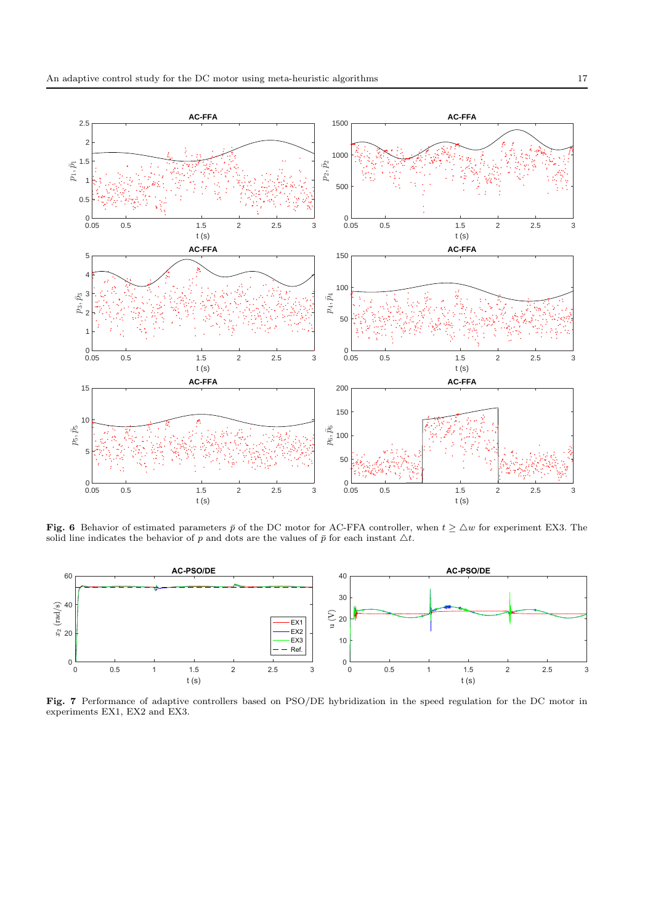

Fig. 6 Behavior of estimated parameters  $\bar{p}$  of the DC motor for AC-FFA controller, when  $t \geq \Delta w$  for experiment EX3. The solid line indicates the behavior of p and dots are the values of  $\bar{p}$  for each instant  $\Delta t$ .



Fig. 7 Performance of adaptive controllers based on PSO/DE hybridization in the speed regulation for the DC motor in experiments EX1, EX2 and EX3.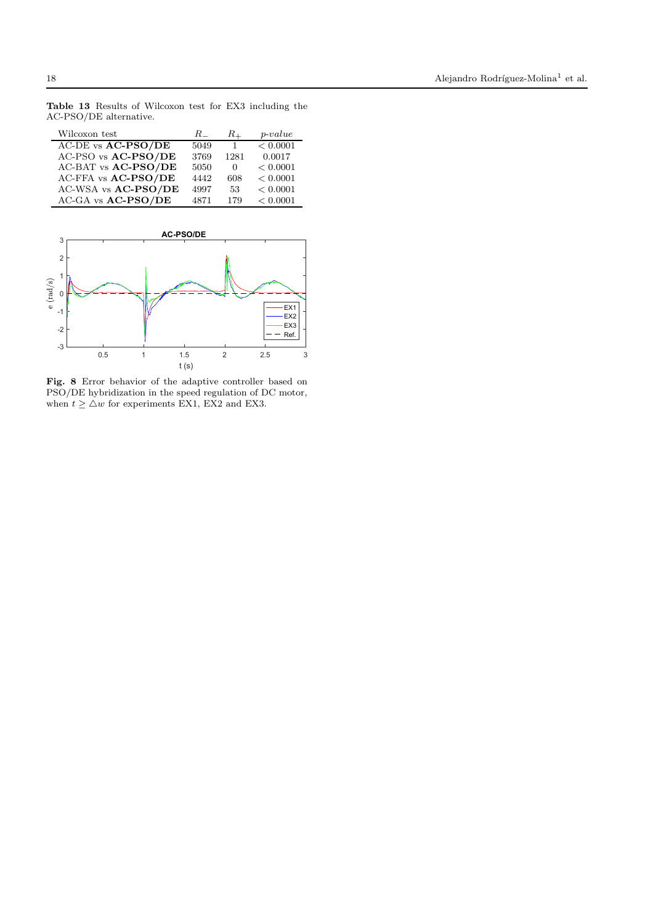Wilcoxon test  $R_ - R_ + p-value$ AC-DE vs  $AC-PSO/DE$  5049 1 < 0.0001  $\begin{array}{cccc} \text{AC-PSO vs}\ \textbf{AC-PSO}/\textbf{DE} & 3769 & 1281 & 0.0017 \\ \text{AC-BAT vs}\ \textbf{AC-PSO}/\textbf{DE} & 5050 & 0 & < 0.0001 \end{array}$ AC-BAT vs  $\text{AC-PSO}/\text{DE}$  5050 0 < 0.0001<br>AC-FFA vs  $\text{AC-PSO}/\text{DE}$  4442 608 < 0.0001 AC-FFA vs AC-PSO/DE AC-WSA vs **AC-PSO/DE** 4997 53 < 0.0001<br>AC-GA vs **AC-PSO/DE** 4871 179 < 0.0001  $AC-GA$  vs  $AC-PSO/DE$ 

Table 13 Results of Wilcoxon test for EX3 including the



Fig. 8 Error behavior of the adaptive controller based on PSO/DE hybridization in the speed regulation of DC motor, when  $t \geq \Delta w$  for experiments EX1, EX2 and EX3.

AC-PSO/DE alternative.